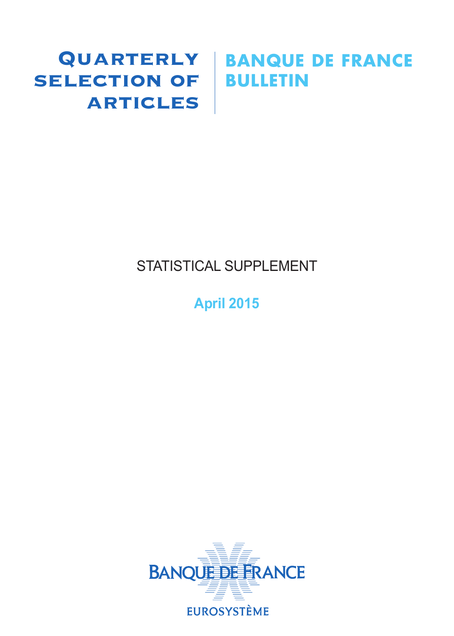# SELECTION OF BULLETIN **ARTICLES**

# Quarterly **BANQUE DE FRANCE**

# STATISTICAL SUPPLEMENT

# **April 2015**

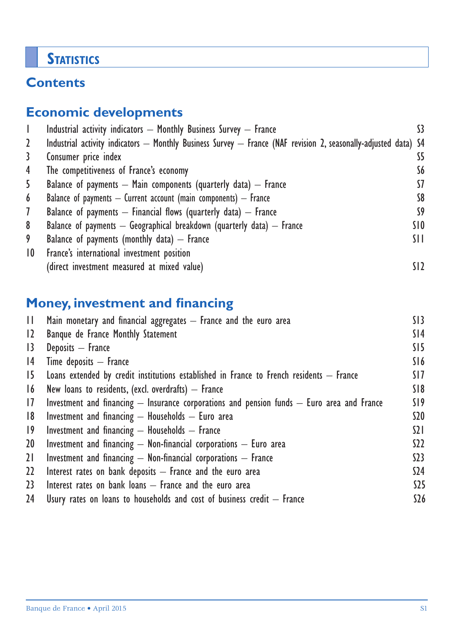# **STATISTICS**

# **Contents**

# **Economic developments**

|                 | Industrial activity indicators $-$ Monthly Business Survey $-$ France                                           |                 |
|-----------------|-----------------------------------------------------------------------------------------------------------------|-----------------|
| 2               | Industrial activity indicators - Monthly Business Survey - France (NAF revision 2, seasonally-adjusted data) S4 |                 |
| 3               | Consumer price index                                                                                            | S5              |
| 4               | The competitiveness of France's economy                                                                         | S6              |
| 5               | Balance of payments $-$ Main components (quarterly data) $-$ France                                             | 57              |
| 6               | Balance of payments $-$ Current account (main components) $-$ France                                            | S8              |
| $\mathcal{I}$   | Balance of payments $-$ Financial flows (quarterly data) $-$ France                                             | S9              |
| 8               | Balance of payments $-$ Geographical breakdown (quarterly data) $-$ France                                      | SIO.            |
| 9               | Balance of payments (monthly data) $-$ France                                                                   | SH.             |
| $\overline{10}$ | France's international investment position                                                                      |                 |
|                 | (direct investment measured at mixed value)                                                                     | SI <sub>2</sub> |

# **Money, investment and financing**

| H.              | Main monetary and financial aggregates - France and the euro area                              | SI3             |
|-----------------|------------------------------------------------------------------------------------------------|-----------------|
| $\overline{12}$ | Banque de France Monthly Statement                                                             | S <sub>14</sub> |
| 13              | Deposits - France                                                                              | SI5             |
| 4               | $Time$ deposits $-$ France                                                                     | S16             |
| 15              | Loans extended by credit institutions established in France to French residents $-$ France     | SI 7            |
| 16              | New loans to residents, (excl. overdrafts) $-$ France                                          | S18             |
| 17              | Investment and financing $-$ Insurance corporations and pension funds $-$ Euro area and France | S19             |
| 8               | Investment and financing $-$ Households $-$ Euro area                                          | \$20            |
| $ 9\rangle$     | Investment and financing $-$ Households $-$ France                                             | $\Omega$        |
| 20              | Investment and financing $-$ Non-financial corporations $-$ Euro area                          | S <sub>2</sub>  |
| 21              | Investment and financing $-$ Non-financial corporations $-$ France                             | 523             |
| $22 \,$         | Interest rates on bank deposits $-$ France and the euro area                                   | \$24            |
| 23              | Interest rates on bank loans $-$ France and the euro area                                      | $525$           |
| 24              | Usury rates on loans to households and cost of business credit $-$ France                      | \$26            |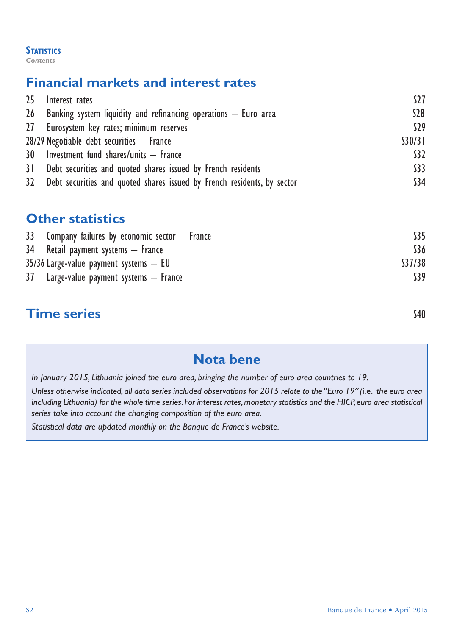#### **STATISTICS** *Contents*

# **Financial markets and interest rates**

| 25 <sub>2</sub> | Interest rates                                                             | S27     |
|-----------------|----------------------------------------------------------------------------|---------|
|                 | 26 Banking system liquidity and refinancing operations $-$ Euro area       | $528$   |
|                 | 27 Eurosystem key rates; minimum reserves                                  | S29     |
|                 | $28/29$ Negotiable debt securities $-$ France                              | \$30/31 |
|                 | 30 Investment fund shares/units - France                                   | \$32    |
|                 | 31 Debt securities and quoted shares issued by French residents            | \$33    |
|                 | 32 Debt securities and quoted shares issued by French residents, by sector | \$34    |

## **Other statistics**

| 33 Company failures by economic sector $-$ France | S35    |
|---------------------------------------------------|--------|
| $34$ Retail payment systems $-$ France            | \$36   |
| $35/36$ Large-value payment systems $-$ EU        | S37/38 |
| $37$ Large-value payment systems $-$ France       | S39    |
|                                                   |        |

# **Time series** S40

# **Nota bene**

*In January 2015, Lithuania joined the euro area, bringing the number of euro area countries to 19.*

*Unless otherwise indicated, all data series included observations for 2015 relate to the "Euro 19" (*i.e. *the euro area including Lithuania) for the whole time series. For interest rates, monetary statistics and the HICP, euro area statistical series take into account the changing composition of the euro area.*

*Statistical data are updated monthly on the Banque de France's website.*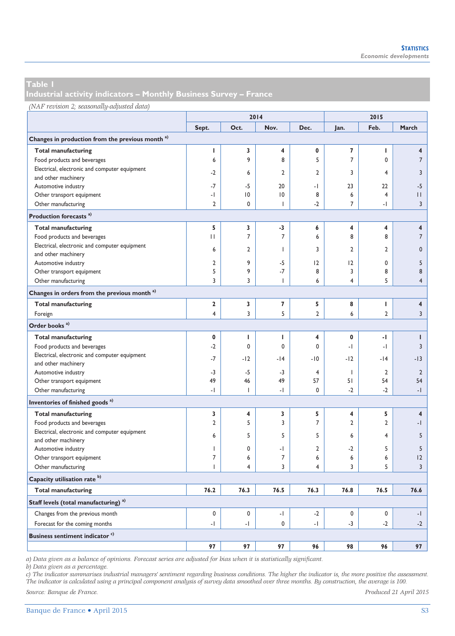**Industrial activity indicators – Monthly Business Survey – France** 

|  |  | (NAF revision 2; seasonally-adjusted data) |  |
|--|--|--------------------------------------------|--|
|--|--|--------------------------------------------|--|

|                                                             |                          |                          | 2014                     |                      |                          | 2015                 |                         |  |
|-------------------------------------------------------------|--------------------------|--------------------------|--------------------------|----------------------|--------------------------|----------------------|-------------------------|--|
|                                                             | Sept.                    | Oct.                     | Nov.                     | Dec.                 | Jan.                     | Feb.                 | March                   |  |
| Changes in production from the previous month <sup>a)</sup> |                          |                          |                          |                      |                          |                      |                         |  |
| <b>Total manufacturing</b>                                  | I                        | 3                        | 4                        | 0                    | 7                        | T                    | $\overline{\mathbf{4}}$ |  |
| Food products and beverages                                 | 6                        | 9                        | 8                        | 5                    | $\overline{7}$           | 0                    | $\overline{7}$          |  |
| Electrical, electronic and computer equipment               |                          |                          |                          |                      |                          |                      |                         |  |
| and other machinery                                         | $-2$                     | 6                        | $\overline{2}$           | $\overline{2}$       | 3                        | 4                    | 3                       |  |
| Automotive industry                                         | $-7$                     | $-5$                     | 20                       | $\cdot$              | 23                       | 22                   | $-5$                    |  |
| Other transport equipment                                   | -1                       | $\overline{0}$           | $ 0\rangle$              | 8                    | 6                        | $\overline{4}$       | $\mathbf{H}$            |  |
| Other manufacturing                                         | $\overline{2}$           | 0                        | $\overline{\phantom{a}}$ | $-2$                 | $\overline{7}$           | - 1                  | $\overline{3}$          |  |
| Production forecasts <sup>a)</sup>                          |                          |                          |                          |                      |                          |                      |                         |  |
| <b>Total manufacturing</b>                                  | 5                        | 3                        | -3                       | 6                    | 4                        | 4                    | 4                       |  |
| Food products and beverages                                 | $\mathbf{H}$             | $\overline{7}$           | $\overline{7}$           | 6                    | 8                        | 8                    | $\overline{7}$          |  |
| Electrical, electronic and computer equipment               |                          |                          |                          |                      |                          |                      |                         |  |
| and other machinery                                         | 6                        | 2                        | $\overline{1}$           | 3                    | $\overline{2}$           | $\overline{2}$       | $\mathbf 0$             |  |
| Automotive industry                                         | $\overline{2}$           | 9                        | $-5$                     | 2                    | 12                       | $\mathbf 0$          | 5                       |  |
| Other transport equipment                                   | 5                        | 9                        | $-7$                     | 8                    | 3                        | 8                    | 8                       |  |
| Other manufacturing                                         | 3                        | 3                        | $\overline{\phantom{a}}$ | 6                    | 4                        | 5                    | $\overline{4}$          |  |
| Changes in orders from the previous month <sup>a)</sup>     |                          |                          |                          |                      |                          |                      |                         |  |
| <b>Total manufacturing</b>                                  | $\overline{2}$           | 3                        | $\overline{7}$           | 5                    | 8                        | I.                   | $\overline{\mathbf{4}}$ |  |
| Foreign                                                     | $\overline{4}$           | 3                        | 5                        | $\overline{2}$       | 6                        | $\overline{2}$       | $\overline{3}$          |  |
| Order books <sup>a)</sup>                                   |                          |                          |                          |                      |                          |                      |                         |  |
|                                                             |                          |                          |                          |                      |                          |                      |                         |  |
| <b>Total manufacturing</b>                                  | $\mathbf 0$              | т                        | ı                        | 4                    | 0                        | -1                   | I                       |  |
| Food products and beverages                                 | $-2$                     | $\mathbf 0$              | $\mathbf 0$              | 0                    | $\overline{\phantom{a}}$ | - 1                  | 3                       |  |
| Electrical, electronic and computer equipment               | $-7$                     | $-12$                    | $-14$                    | $-10$                | $-12$                    | $-14$                | $-13$                   |  |
| and other machinery                                         |                          |                          |                          |                      |                          |                      |                         |  |
| Automotive industry                                         | -3<br>49                 | $-5$<br>46               | $-3$<br>49               | $\overline{4}$<br>57 | ı<br>51                  | $\overline{2}$<br>54 | $\overline{2}$<br>54    |  |
| Other transport equipment                                   |                          |                          |                          |                      |                          |                      |                         |  |
| Other manufacturing                                         | $\cdot$                  | T                        | $\cdot$                  | $\mathbf 0$          | $-2$                     | $-2$                 | $-1$                    |  |
| Inventories of finished goods <sup>a)</sup>                 |                          |                          |                          |                      |                          |                      |                         |  |
| <b>Total manufacturing</b>                                  | 3                        | 4                        | 3                        | 5                    | 4                        | 5                    | $\overline{\mathbf{4}}$ |  |
| Food products and beverages                                 | $\overline{2}$           | 5                        | 3                        | $\overline{7}$       | $\overline{2}$           | $\overline{2}$       | -1                      |  |
| Electrical, electronic and computer equipment               | 6                        | 5                        | 5                        | 5                    | 6                        | $\overline{4}$       | 5                       |  |
| and other machinery                                         |                          |                          |                          |                      |                          |                      |                         |  |
| Automotive industry                                         | 1                        | 0                        | -1                       | $\overline{2}$       | $-2$                     | 5                    | 5                       |  |
| Other transport equipment                                   | $\overline{7}$           | 6                        | $\overline{7}$           | 6                    | 6                        | 6                    | 12                      |  |
| Other manufacturing                                         | $\overline{1}$           | 4                        | 3                        | 4                    | 3                        | 5                    | 3                       |  |
| Capacity utilisation rate <sup>b)</sup>                     |                          |                          |                          |                      |                          |                      |                         |  |
| <b>Total manufacturing</b>                                  | 76.2                     | 76.3                     | 76.5                     | 76.3                 | 76.8                     | 76.5                 | 76.6                    |  |
| Staff levels (total manufacturing) <sup>a)</sup>            |                          |                          |                          |                      |                          |                      |                         |  |
| Changes from the previous month                             | 0                        | 0                        | $\cdot$                  | $-2$                 | $\mathbf 0$              | 0                    | -1                      |  |
| Forecast for the coming months                              | $\overline{\phantom{0}}$ | $\overline{\phantom{a}}$ | $\mathbf 0$              | $\cdot$              | $-3$                     | $-2$                 | $-2$                    |  |
| Business sentiment indicator <sup>c)</sup>                  |                          |                          |                          |                      |                          |                      |                         |  |
|                                                             | 97                       | 97                       | 97                       | 96                   | 98                       | 96                   | 97                      |  |

*a) Data given as a balance of opinions. Forecast series are adjusted for bias when it is statistically significant.* 

*b) Data given as a percentage.* 

*c) The indicator summarises industrial managers' sentiment regarding business conditions. The higher the indicator is, the more positive the assessment. The indicator is calculated using a principal component analysis of survey data smoothed over three months. By construction, the average is 100.* 

*Source: Banque de France. Produced 21 April 2015*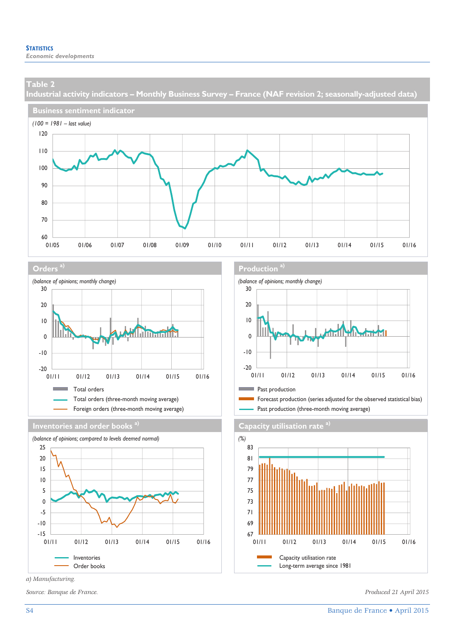**Industrial activity indicators – Monthly Business Survey – France (NAF revision 2; seasonally-adjusted data)** 











*a) Manufacturing.* 

*Source: Banque de France. Produced 21 April 2015* 

#### **Orders** a) **Production** and **Production** and **Production** a)



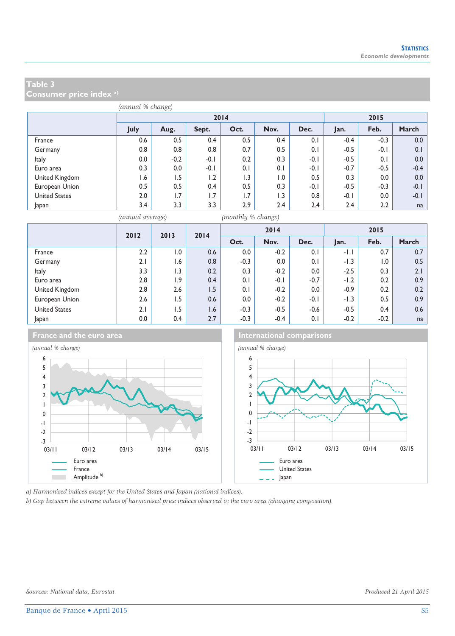**Consumer price index a)**

|                      | (annual % change) |        |        |      |      |        |        |        |        |  |  |
|----------------------|-------------------|--------|--------|------|------|--------|--------|--------|--------|--|--|
|                      |                   |        | 2014   | 2015 |      |        |        |        |        |  |  |
|                      | July              | Aug.   | Sept.  | Oct. | Nov. | Dec.   | Jan.   | Feb.   | March  |  |  |
| France               | 0.6               | 0.5    | 0.4    | 0.5  | 0.4  | 0.1    | $-0.4$ | $-0.3$ | 0.0    |  |  |
| Germany              | 0.8               | 0.8    | 0.8    | 0.7  | 0.5  | 0.1    | $-0.5$ | $-0.1$ | 0.1    |  |  |
| Italy                | 0.0               | $-0.2$ | $-0.1$ | 0.2  | 0.3  | $-0.1$ | $-0.5$ | 0.1    | 0.0    |  |  |
| Euro area            | 0.3               | 0.0    | $-0.1$ | 0.1  | 0.1  | $-0.1$ | $-0.7$ | $-0.5$ | $-0.4$ |  |  |
| United Kingdom       | l.6               | 1.5    | 1.2    | 1.3  | 1.0  | 0.5    | 0.3    | 0.0    | 0.0    |  |  |
| European Union       | 0.5               | 0.5    | 0.4    | 0.5  | 0.3  | $-0.1$ | $-0.5$ | $-0.3$ | $-0.1$ |  |  |
| <b>United States</b> | 2.0               | 1.7    | 1.7    | 1.7  | 1.3  | 0.8    | $-0.1$ | 0.0    | $-0.1$ |  |  |
| Japan                | 3.4               | 3.3    | 3.3    | 2.9  | 2.4  | 2.4    | 2.4    | 2.2    | na     |  |  |

*(annual average) (monthly % change)*

|                      | 2012 | 2013             | 2014 |        | 2014   |        |        | 2015             |       |
|----------------------|------|------------------|------|--------|--------|--------|--------|------------------|-------|
|                      |      |                  |      | Oct.   | Nov.   | Dec.   | Jan.   | Feb.             | March |
| France               | 2.2  | 0.1              | 0.6  | 0.0    | $-0.2$ | 0.1    | $-1.1$ | 0.7              | 0.7   |
| Germany              | 2.1  | 1.6              | 0.8  | $-0.3$ | 0.0    | 0.1    | $-1.3$ | $\overline{0}$ . | 0.5   |
| Italy                | 3.3  | $\overline{1.3}$ | 0.2  | 0.3    | $-0.2$ | 0.0    | $-2.5$ | 0.3              | 2.1   |
| Euro area            | 2.8  | 1.9              | 0.4  | 0.1    | $-0.1$ | $-0.7$ | $-1.2$ | 0.2              | 0.9   |
| United Kingdom       | 2.8  | 2.6              | 1.5  | 0.1    | $-0.2$ | 0.0    | $-0.9$ | 0.2              | 0.2   |
| European Union       | 2.6  | $-5$             | 0.6  | 0.0    | $-0.2$ | $-0.1$ | $-1.3$ | 0.5              | 0.9   |
| <b>United States</b> | 2.1  | 1.5              | 1.6  | $-0.3$ | $-0.5$ | $-0.6$ | $-0.5$ | 0.4              | 0.6   |
| Japan                | 0.0  | 0.4              | 2.7  | $-0.3$ | $-0.4$ | 0.1    | $-0.2$ | $-0.2$           | na    |



**France and the euro area International comparisons** 



*a) Harmonised indices except for the United States and Japan (national indices).* 

*b) Gap between the extreme values of harmonised price indices observed in the euro area (changing composition).*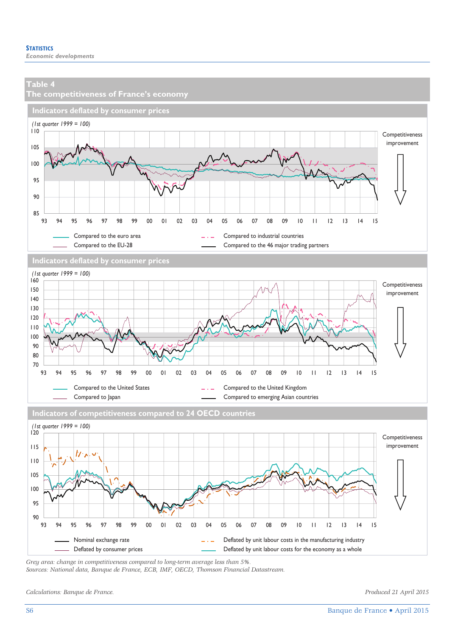

*Grey area: change in competitiveness compared to long-term average less than 5%.* 

*Sources: National data, Banque de France, ECB, IMF, OECD, Thomson Financial Datastream.* 

*Calculations: Banque de France. Produced 21 April 2015*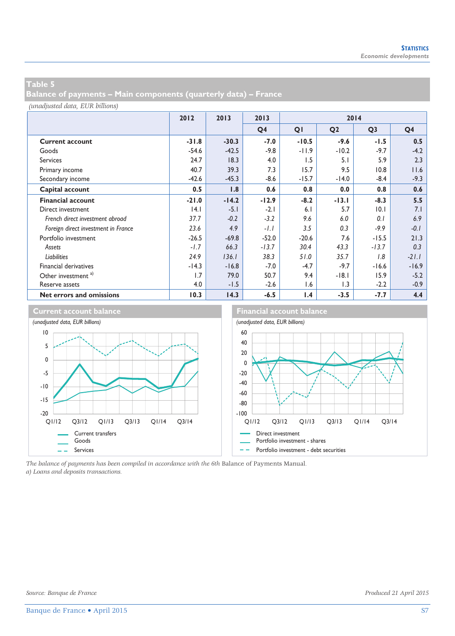**Balance of payments – Main components (quarterly data) – France** 

*(unadjusted data, EUR billions)*

|                                     | 2012    | 2013    | 2013           | 2014    |                  |                |                |
|-------------------------------------|---------|---------|----------------|---------|------------------|----------------|----------------|
|                                     |         |         | Q <sub>4</sub> | QI      | Q <sub>2</sub>   | Q <sub>3</sub> | Q <sub>4</sub> |
| <b>Current account</b>              | $-31.8$ | $-30.3$ | $-7.0$         | $-10.5$ | $-9.6$           | $-1.5$         | 0.5            |
| Goods                               | $-54.6$ | $-42.5$ | $-9.8$         | $-11.9$ | $-10.2$          | $-9.7$         | $-4.2$         |
| <b>Services</b>                     | 24.7    | 18.3    | 4.0            | 1.5     | 5.1              | 5.9            | 2.3            |
| Primary income                      | 40.7    | 39.3    | 7.3            | 15.7    | 9.5              | 10.8           | 11.6           |
| Secondary income                    | $-42.6$ | $-45.3$ | $-8.6$         | $-15.7$ | $-14.0$          | $-8.4$         | $-9.3$         |
| Capital account                     | 0.5     | 1.8     | 0.6            | 0.8     | 0.0              | 0.8            | 0.6            |
| <b>Financial account</b>            | $-21.0$ | $-14.2$ | $-12.9$        | $-8.2$  | $-13.1$          | $-8.3$         | 5.5            |
| Direct investment                   | 4.1     | $-5.1$  | $-2.1$         | 6.1     | 5.7              | 10.1           | 7.1            |
| French direct investment abroad     | 37.7    | $-0.2$  | $-3.2$         | 9.6     | 6.0              | 0.1            | 6.9            |
| Foreign direct investment in France | 23.6    | 4.9     | $-1.1$         | 3.5     | 0.3              | $-9.9$         | $-0.1$         |
| Portfolio investment                | $-26.5$ | $-69.8$ | $-52.0$        | $-20.6$ | 7.6              | $-15.5$        | 21.3           |
| Assets                              | $-1.7$  | 66.3    | $-13.7$        | 30.4    | 43.3             | $-13.7$        | 0.3            |
| <b>Liabilities</b>                  | 24.9    | 136.1   | 38.3           | 51.0    | 35.7             | 1.8            | $-21.1$        |
| <b>Financial derivatives</b>        | $-14.3$ | $-16.8$ | $-7.0$         | $-4.7$  | $-9.7$           | $-16.6$        | $-16.9$        |
| Other investment <sup>a)</sup>      | 1.7     | 79.0    | 50.7           | 9.4     | $-18.1$          | 15.9           | $-5.2$         |
| Reserve assets                      | 4.0     | $-1.5$  | $-2.6$         | 1.6     | $\overline{1.3}$ | $-2.2$         | $-0.9$         |
| Net errors and omissions            | 10.3    | 14.3    | $-6.5$         | 1.4     | $-3.5$           | $-7.7$         | 4.4            |



*The balance of payments has been compiled in accordance with the 6th* Balance of Payments Manual*. a) Loans and deposits transactions.*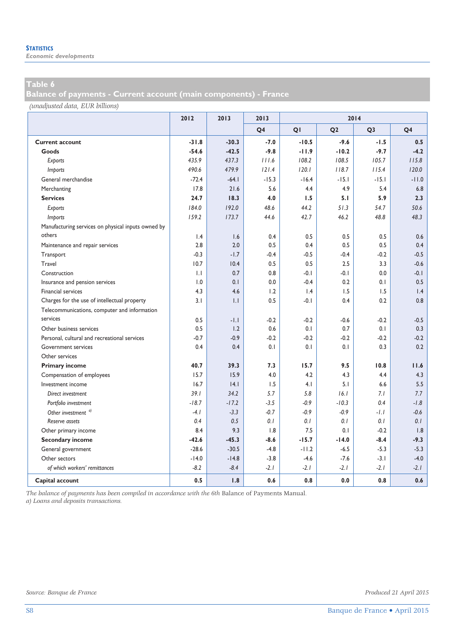**Balance of payments - Current account (main components) - France** 

*(unadjusted data, EUR billions)*

|                                                    | 2012            | 2013    | 2013           | 2014            |                |                |                |
|----------------------------------------------------|-----------------|---------|----------------|-----------------|----------------|----------------|----------------|
|                                                    |                 |         | Q <sub>4</sub> | QI              | Q <sub>2</sub> | Q <sub>3</sub> | Q <sub>4</sub> |
| <b>Current account</b>                             | $-31.8$         | $-30.3$ | $-7.0$         | $-10.5$         | $-9.6$         | $-1.5$         | 0.5            |
| Goods                                              | $-54.6$         | $-42.5$ | $-9.8$         | $-11.9$         | $-10.2$        | $-9.7$         | $-4.2$         |
| Exports                                            | 435.9           | 437.3   | 111.6          | 108.2           | 108.5          | 105.7          | 115.8          |
| Imports                                            | 490.6           | 479.9   | 121.4          | 120.1           | 118.7          | 115.4          | 120.0          |
| General merchandise                                | $-72.4$         | $-64.1$ | $-15.3$        | $-16.4$         | $-15.1$        | $-15.1$        | $-11.0$        |
| Merchanting                                        | 17.8            | 21.6    | 5.6            | 4.4             | 4.9            | 5.4            | 6.8            |
| <b>Services</b>                                    | 24.7            | 18.3    | 4.0            | 1.5             | 5.1            | 5.9            | 2.3            |
| Exports                                            | 184.0           | 192.0   | 48.6           | 44.2            | 51.3           | 54.7           | 50.6           |
| Imports                                            | 159.2           | 173.7   | 44.6           | 42.7            | 46.2           | 48.8           | 48.3           |
| Manufacturing services on physical inputs owned by |                 |         |                |                 |                |                |                |
| others                                             | $\mathsf{I}$ .4 | 1.6     | 0.4            | 0.5             | 0.5            | 0.5            | 0.6            |
| Maintenance and repair services                    | 2.8             | 2.0     | 0.5            | 0.4             | 0.5            | 0.5            | 0.4            |
| Transport                                          | $-0.3$          | $-1.7$  | $-0.4$         | $-0.5$          | $-0.4$         | $-0.2$         | $-0.5$         |
| Travel                                             | 10.7            | 10.4    | 0.5            | 0.5             | 2.5            | 3.3            | $-0.6$         |
| Construction                                       | $\mathbf{L}$    | 0.7     | 0.8            | $-0.1$          | $-0.1$         | 0.0            | $-0.1$         |
| Insurance and pension services                     | 1.0             | 0.1     | 0.0            | $-0.4$          | 0.2            | 0.1            | 0.5            |
| <b>Financial services</b>                          | 4.3             | 4.6     | 1.2            | $\mathsf{I}$ .4 | 1.5            | 1.5            | 1.4            |
| Charges for the use of intellectual property       | 3.1             | 1.1     | 0.5            | $-0.1$          | 0.4            | 0.2            | 0.8            |
| Telecommunications, computer and information       |                 |         |                |                 |                |                |                |
| services                                           | 0.5             | $-1.1$  | $-0.2$         | $-0.2$          | $-0.6$         | $-0.2$         | $-0.5$         |
| Other business services                            | 0.5             | 1.2     | 0.6            | 0.1             | 0.7            | 0.1            | 0.3            |
| Personal, cultural and recreational services       | $-0.7$          | $-0.9$  | $-0.2$         | $-0.2$          | $-0.2$         | $-0.2$         | $-0.2$         |
| <b>Government services</b>                         | 0.4             | 0.4     | 0.1            | 0.1             | 0.1            | 0.3            | 0.2            |
| Other services                                     |                 |         |                |                 |                |                |                |
| <b>Primary income</b>                              | 40.7            | 39.3    | 7.3            | 15.7            | 9.5            | 10.8           | 11.6           |
| Compensation of employees                          | 15.7            | 15.9    | 4.0            | 4.2             | 4.3            | 4.4            | 4.3            |
| Investment income                                  | 16.7            | 4.1     | 1.5            | 4.1             | 5.1            | 6.6            | 5.5            |
| Direct investment                                  | 39.1            | 34.2    | 5.7            | 5.8             | 16.1           | 7.1            | 7.7            |
| Portfolio investment                               | $-18.7$         | $-17.2$ | $-3.5$         | $-0.9$          | $-10.3$        | 0.4            | $-1.8$         |
| Other investment $a)$                              | $-4.1$          | $-3.3$  | $-0.7$         | $-0.9$          | $-0.9$         | $-1.1$         | $-0.6$         |
| Reserve assets                                     | 0.4             | 0.5     | 0.1            | 0.1             | 0.1            | 0.1            | 0.1            |
| Other primary income                               | 8.4             | 9.3     | 1.8            | 7.5             | 0.1            | $-0.2$         | 1.8            |
| <b>Secondary income</b>                            | $-42.6$         | $-45.3$ | $-8.6$         | $-15.7$         | $-14.0$        | $-8.4$         | $-9.3$         |
| General government                                 | $-28.6$         | $-30.5$ | $-4.8$         | $-11.2$         | $-6.5$         | $-5.3$         | $-5.3$         |
| Other sectors                                      | $-14.0$         | $-14.8$ | $-3.8$         | $-4.6$          | $-7.6$         | $-3.1$         | $-4.0$         |
| of which workers' remittances                      | $-8.2$          | $-8.4$  | $-2.1$         | $-2.1$          | $-2.1$         | $-2.1$         | $-2.1$         |
| Capital account                                    | 0.5             | 1.8     | 0.6            | 0.8             | 0.0            | 0.8            | 0.6            |

*The balance of payments has been compiled in accordance with the 6th* Balance of Payments Manual*. a) Loans and deposits transactions.*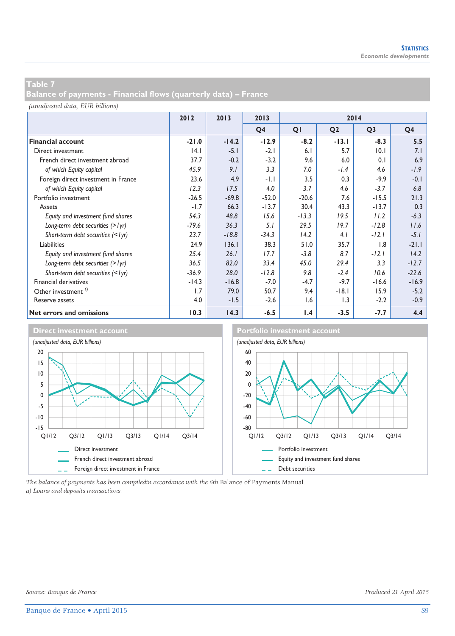**Balance of payments - Financial flows (quarterly data) – France** 

*(unadjusted data, EUR billions)*

|                                     | 2012    | 2013<br>2013<br>2014 |                |         |                |                |                |
|-------------------------------------|---------|----------------------|----------------|---------|----------------|----------------|----------------|
|                                     |         |                      | Q <sub>4</sub> | QI      | Q <sub>2</sub> | Q <sub>3</sub> | Q <sub>4</sub> |
| <b>Financial account</b>            | $-21.0$ | $-14.2$              | $-12.9$        | $-8.2$  | $-13.1$        | $-8.3$         | 5.5            |
| Direct investment                   | 4.1     | $-5.1$               | $-2.1$         | 6.1     | 5.7            | 0.1            | 7.1            |
| French direct investment abroad     | 37.7    | $-0.2$               | $-3.2$         | 9.6     | 6.0            | 0.1            | 6.9            |
| of which Equity capital             | 45.9    | 9.1                  | 3.3            | 7.0     | $-1.4$         | 4.6            | $-1.9$         |
| Foreign direct investment in France | 23.6    | 4.9                  | $-1.1$         | 3.5     | 0.3            | $-9.9$         | $-0.1$         |
| of which Equity capital             | 12.3    | 17.5                 | 4.0            | 3.7     | 4.6            | $-3.7$         | 6.8            |
| Portfolio investment                | $-26.5$ | $-69.8$              | $-52.0$        | $-20.6$ | 7.6            | $-15.5$        | 21.3           |
| Assets                              | $-1.7$  | 66.3                 | $-13.7$        | 30.4    | 43.3           | $-13.7$        | 0.3            |
| Equity and investment fund shares   | 54.3    | 48.8                 | 15.6           | $-13.3$ | 19.5           | 11.2           | $-6.3$         |
| Long-term debt securities $(>$ lyr) | $-79.6$ | 36.3                 | 5.1            | 29.5    | 19.7           | $-12.8$        | 11.6           |
| Short-term debt securities (< lyr)  | 23.7    | $-18.8$              | $-34.3$        | 14.2    | 4.1            | $-12.1$        | $-5.1$         |
| Liabilities                         | 24.9    | 136.1                | 38.3           | 51.0    | 35.7           | 1.8            | $-21.1$        |
| Equity and investment fund shares   | 25.4    | 26.1                 | 17.7           | $-3.8$  | 8.7            | $-12.1$        | 14.2           |
| Long-term debt securities $(>$ lyr) | 36.5    | 82.0                 | 33.4           | 45.0    | 29.4           | 3.3            | $-12.7$        |
| Short-term debt securities (<1yr)   | $-36.9$ | 28.0                 | $-12.8$        | 9.8     | $-2.4$         | 10.6           | $-22.6$        |
| Financial derivatives               | $-14.3$ | $-16.8$              | $-7.0$         | $-4.7$  | $-9.7$         | $-16.6$        | $-16.9$        |
| Other investment <sup>a)</sup>      | 1.7     | 79.0                 | 50.7           | 9.4     | $-18.1$        | 15.9           | $-5.2$         |
| Reserve assets                      | 4.0     | $-1.5$               | $-2.6$         | 1.6     | 1.3            | $-2.2$         | $-0.9$         |
| Net errors and omissions            | 10.3    | 14.3                 | $-6.5$         | 1.4     | $-3.5$         | $-7.7$         | 4.4            |



*The balance of payments has been compiledin accordance with the 6th* Balance of Payments Manual*. a) Loans and deposits transactions.*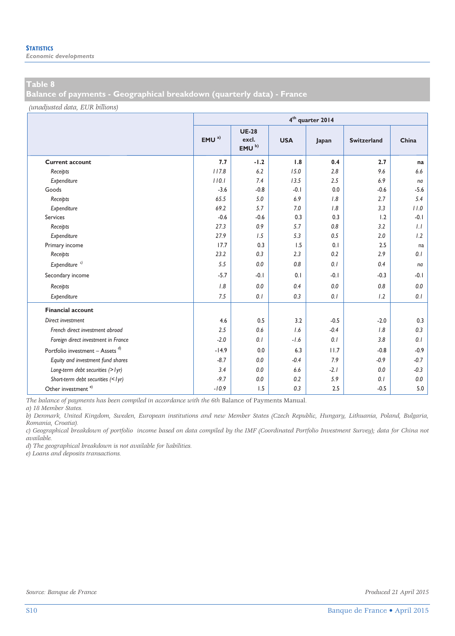**Balance of payments - Geographical breakdown (quarterly data) - France** 

*(unadjusted data, EUR billions)*

|                                             |                  | 4 <sup>th</sup> quarter 2014               |            |        |                    |        |  |  |  |  |  |
|---------------------------------------------|------------------|--------------------------------------------|------------|--------|--------------------|--------|--|--|--|--|--|
|                                             | EMU <sup>a</sup> | <b>UE-28</b><br>excl.<br>EMU <sup>b)</sup> | <b>USA</b> | Japan  | <b>Switzerland</b> | China  |  |  |  |  |  |
| <b>Current account</b>                      | 7.7              | $-1.2$                                     | 1.8        | 0.4    | 2.7                | na     |  |  |  |  |  |
| Receipts                                    | 117.8            | 6.2                                        | 15.0       | 2.8    | 9.6                | 6.6    |  |  |  |  |  |
| Expenditure                                 | 110.1            | 7.4                                        | 13.5       | 2.5    | 6.9                | na     |  |  |  |  |  |
| Goods                                       | $-3.6$           | $-0.8$                                     | $-0.1$     | 0.0    | $-0.6$             | $-5.6$ |  |  |  |  |  |
| Receipts                                    | 65.5             | 5.0                                        | 6.9        | 1.8    | 2.7                | 5.4    |  |  |  |  |  |
| Expenditure                                 | 69.2             | 5.7                                        | 7.0        | 1.8    | 3.3                | 11.0   |  |  |  |  |  |
| Services                                    | $-0.6$           | $-0.6$                                     | 0.3        | 0.3    | 1.2                | $-0.1$ |  |  |  |  |  |
| Receipts                                    | 27.3             | 0.9                                        | 5.7        | 0.8    | 3.2                | 1.1    |  |  |  |  |  |
| Expenditure                                 | 27.9             | 1.5                                        | 5.3        | 0.5    | 2.0                | 1.2    |  |  |  |  |  |
| Primary income                              | 17.7             | 0.3                                        | 1.5        | 0.1    | 2.5                | na     |  |  |  |  |  |
| Receipts                                    | 23.2             | 0.3                                        | 2.3        | 0.2    | 2.9                | 0.1    |  |  |  |  |  |
| Expenditure <sup>c)</sup>                   | 5.5              | 0.0                                        | 0.8        | 0.1    | 0.4                | na     |  |  |  |  |  |
| Secondary income                            | $-5.7$           | $-0.1$                                     | 0.1        | $-0.1$ | $-0.3$             | -0.1   |  |  |  |  |  |
| Receipts                                    | 1.8              | 0.0                                        | 0.4        | 0.0    | 0.8                | 0.0    |  |  |  |  |  |
| Expenditure                                 | 7.5              | 0.1                                        | 0.3        | 0.1    | 1.2                | 0.1    |  |  |  |  |  |
| <b>Financial account</b>                    |                  |                                            |            |        |                    |        |  |  |  |  |  |
| Direct investment                           | 4.6              | 0.5                                        | 3.2        | $-0.5$ | $-2.0$             | 0.3    |  |  |  |  |  |
| French direct investment abroad             | 2.5              | 0.6                                        | 1.6        | $-0.4$ | 1.8                | 0.3    |  |  |  |  |  |
| Foreign direct investment in France         | $-2.0$           | 0.1                                        | $-1.6$     | 0.1    | 3.8                | 0.1    |  |  |  |  |  |
| Portfolio investment - Assets <sup>d)</sup> | $-14.9$          | 0.0                                        | 6.3        | 11.7   | $-0.8$             | $-0.9$ |  |  |  |  |  |
| Equity and investment fund shares           | $-8.7$           | 0.0                                        | $-0.4$     | 7.9    | $-0.9$             | $-0.7$ |  |  |  |  |  |
| Long-term debt securities (> lyr)           | 3.4              | 0.0                                        | 6.6        | $-2.1$ | 0.0                | $-0.3$ |  |  |  |  |  |
| Short-term debt securities (<1yr)           | $-9.7$           | 0.0                                        | 0.2        | 5.9    | 0.1                | 0.0    |  |  |  |  |  |
| Other investment $e$ )                      | $-10.9$          | 1.5                                        | 0.3        | 2.5    | $-0.5$             | 5.0    |  |  |  |  |  |

*The balance of payments has been compiled in accordance with the 6th* Balance of Payments Manual*.* 

*a) 18 Member States.* 

*b) Denmark, United Kingdom, Sweden, European institutions and new Member States (Czech Republic, Hungary, Lithuania, Poland, Bulgaria, Romania, Croatia).* 

*c) Geographical breakdown of portfolio income based on data compiled by the IMF (Coordinated Portfolio Investment Survey); data for China not available.* 

*d) The geographical breakdown is not available for liabilities.* 

*e) Loans and deposits transactions.* 

*Source: Banque de France Produced 21 April 2015*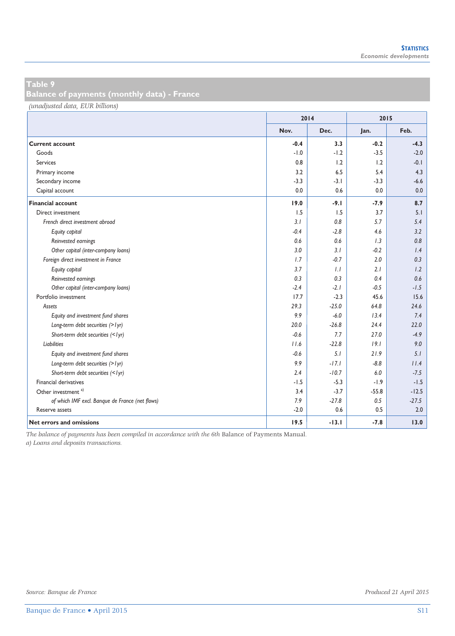**Balance of payments (monthly data) - France** 

*(unadjusted data, EUR billions)*

|                                                 | 2014   |         | 2015    |         |
|-------------------------------------------------|--------|---------|---------|---------|
|                                                 | Nov.   | Dec.    | Jan.    | Feb.    |
| <b>Current account</b>                          | $-0.4$ | 3.3     | $-0.2$  | $-4.3$  |
| Goods                                           | $-1.0$ | $-1.2$  | $-3.5$  | $-2.0$  |
| <b>Services</b>                                 | 0.8    | 1.2     | 1.2     | $-0.1$  |
| Primary income                                  | 3.2    | 6.5     | 5.4     | 4.3     |
| Secondary income                                | $-3.3$ | $-3.1$  | $-3.3$  | $-6.6$  |
| Capital account                                 | 0.0    | 0.6     | 0.0     | 0.0     |
| <b>Financial account</b>                        | 19.0   | $-9.1$  | $-7.9$  | 8.7     |
| Direct investment                               | 1.5    | 1.5     | 3.7     | 5.1     |
| French direct investment abroad                 | 3.1    | 0.8     | 5.7     | 5.4     |
| Equity capital                                  | $-0.4$ | $-2.8$  | 4.6     | 3.2     |
| Reinvested earnings                             | 0.6    | 0.6     | 1.3     | 0.8     |
| Other capital (inter-company loans)             | 3.0    | 3.1     | $-0.2$  | 1.4     |
| Foreign direct investment in France             | 1.7    | $-0.7$  | 2.0     | 0.3     |
| Equity capital                                  | 3.7    | 1.1     | 2.1     | 1.2     |
| Reinvested earnings                             | 0.3    | 0.3     | 0.4     | 0.6     |
| Other capital (inter-company loans)             | $-2.4$ | $-2.1$  | $-0.5$  | $-1.5$  |
| Portfolio investment                            | 17.7   | $-2.3$  | 45.6    | 15.6    |
| Assets                                          | 29.3   | $-25.0$ | 64.8    | 24.6    |
| Equity and investment fund shares               | 9.9    | $-6.0$  | 13.4    | 7.4     |
| Long-term debt securities (> lyr)               | 20.0   | $-26.8$ | 24.4    | 22.0    |
| Short-term debt securities (<1yr)               | $-0.6$ | 7.7     | 27.0    | $-4.9$  |
| Liabilities                                     | 11.6   | $-22.8$ | 19.1    | 9.0     |
| Equity and investment fund shares               | $-0.6$ | 5.1     | 21.9    | 5.1     |
| Long-term debt securities (> lyr)               | 9.9    | $-17.1$ | $-8.8$  | 11.4    |
| Short-term debt securities (<1yr)               | 2.4    | $-10.7$ | 6.0     | $-7.5$  |
| Financial derivatives                           | $-1.5$ | $-5.3$  | $-1.9$  | $-1.5$  |
| Other investment <sup>a)</sup>                  | 3.4    | $-3.7$  | $-55.8$ | $-12.5$ |
| of which IMF excl. Banque de France (net flows) | 7.9    | $-27.8$ | 0.5     | $-27.5$ |
| Reserve assets                                  | $-2.0$ | 0.6     | 0.5     | 2.0     |
| Net errors and omissions                        | 19.5   | $-13.1$ | $-7.8$  | 13.0    |

*The balance of payments has been compiled in accordance with the 6th* Balance of Payments Manual*.* 

*a) Loans and deposits transactions.*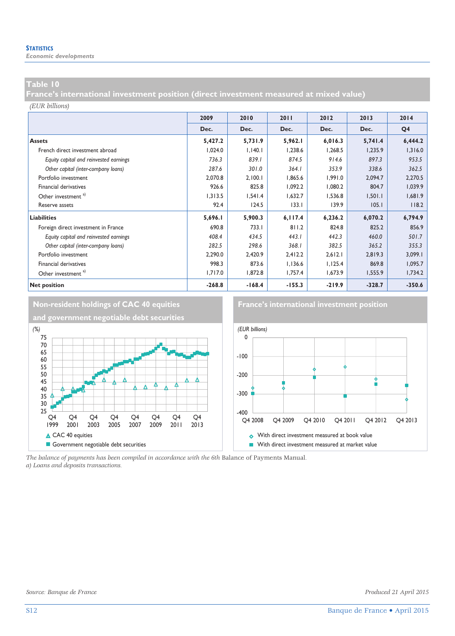*Economic developments* 

#### **Table 10**

**France's international investment position (direct investment measured at mixed value)** 

#### *(EUR billions)*

|                                        | 2009     | 2010     | 2011     | 2012     | 2013     | 2014           |
|----------------------------------------|----------|----------|----------|----------|----------|----------------|
|                                        | Dec.     | Dec.     | Dec.     | Dec.     | Dec.     | Q <sub>4</sub> |
| <b>Assets</b>                          | 5,427.2  | 5,731.9  | 5,962.1  | 6,016.3  | 5,741.4  | 6,444.2        |
| French direct investment abroad        | 1,024.0  | 1.140.1  | 1,238.6  | 1,268.5  | 1,235.9  | 1,316.0        |
| Equity capital and reinvested earnings | 736.3    | 839.1    | 874.5    | 914.6    | 897.3    | 953.5          |
| Other capital (inter-company loans)    | 287.6    | 301.0    | 364.1    | 353.9    | 338.6    | 362.5          |
| Portfolio investment                   | 2,070.8  | 2,100.1  | 1,865.6  | 1,991.0  | 2,094.7  | 2,270.5        |
| Financial derivatives                  | 926.6    | 825.8    | 1,092.2  | 1,080.2  | 804.7    | 1,039.9        |
| Other investment <sup>a)</sup>         | 1,313.5  | 1,541.4  | 1,632.7  | 1,536.8  | 1,501.1  | 1,681.9        |
| Reserve assets                         | 92.4     | 124.5    | 133.1    | 139.9    | 105.1    | 118.2          |
| Liabilities                            | 5,696.I  | 5,900.3  | 6,117.4  | 6,236.2  | 6,070.2  | 6,794.9        |
| Foreign direct investment in France    | 690.8    | 733.1    | 811.2    | 824.8    | 825.2    | 856.9          |
| Equity capital and reinvested earnings | 408.4    | 434.5    | 443.1    | 442.3    | 460.0    | 501.7          |
| Other capital (inter-company loans)    | 282.5    | 298.6    | 368.1    | 382.5    | 365.2    | 355.3          |
| Portfolio investment                   | 2,290.0  | 2,420.9  | 2,412.2  | 2,612.1  | 2,819.3  | 3,099.1        |
| Financial derivatives                  | 998.3    | 873.6    | 1,136.6  | 1,125.4  | 869.8    | 1,095.7        |
| Other investment <sup>a)</sup>         | 1,717.0  | 1,872.8  | 1,757.4  | 1,673.9  | 1,555.9  | 1,734.2        |
| <b>Net position</b>                    | $-268.8$ | $-168.4$ | $-155.3$ | $-219.9$ | $-328.7$ | $-350.6$       |



*The balance of payments has been compiled in accordance with the 6th* Balance of Payments Manual*. a) Loans and deposits transactions.*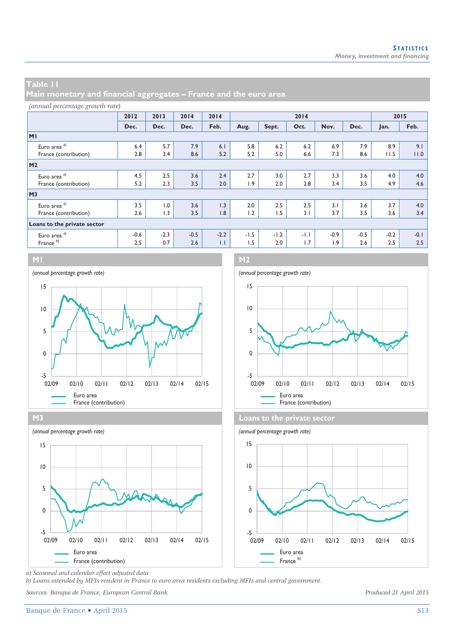**Main monetary and financial aggregates – France and the euro area** 

#### *(annual percentage growth rate)*

|                             | 2012   | 2013   | 2014   | 2014   | 2014   |        |        |        |        | 2015   |        |
|-----------------------------|--------|--------|--------|--------|--------|--------|--------|--------|--------|--------|--------|
|                             | Dec.   | Dec.   | Dec.   | Feb.   | Aug.   | Sept.  | Oct.   | Nov.   | Dec.   | Jan.   | Feb.   |
| MI                          |        |        |        |        |        |        |        |        |        |        |        |
| Euro area <sup>a)</sup>     | 6.4    | 5.7    | 7.9    | 6.1    | 5.8    | 6.2    | 6.2    | 6.9    | 7.9    | 8.9    | 9.1    |
| France (contribution)       | 2.8    | 3.4    | 8.6    | 5.2    | 5.2    | 5.0    | 6.6    | 7.3    | 8.6    | 11.5   | 11.0   |
| M <sub>2</sub>              |        |        |        |        |        |        |        |        |        |        |        |
| Euro area <sup>a)</sup>     | 4.5    | 2.5    | 3.6    | 2.4    | 2.7    | 3.0    | 2.7    | 3.3    | 3.6    | 4.0    | 4.0    |
| France (contribution)       | 5.2    | 2.3    | 3.5    | 2.0    | 1.9    | 2.0    | 2.8    | 3.4    | 3.5    | 4.9    | 4.6    |
| M <sub>3</sub>              |        |        |        |        |        |        |        |        |        |        |        |
| Euro area <sup>a)</sup>     | 3.5    | 1.0    | 3.6    | 1.3    | 2.0    | 2.5    | 2.5    | 3.1    | 3.6    | 3.7    | 4.0    |
| France (contribution)       | 2.6    | 1.3    | 3.5    | 1.8    | 1.2    | 1.5    | 3.1    | 3.7    | 3.5    | 3.6    | 3.4    |
| Loans to the private sector |        |        |        |        |        |        |        |        |        |        |        |
| Euro area <sup>a)</sup>     | $-0.6$ | $-2.3$ | $-0.5$ | $-2.2$ | $-1.5$ | $-1.2$ | $-1.1$ | $-0.9$ | $-0.5$ | $-0.2$ | $-0.1$ |
| France <sup>b)</sup>        | 2.5    | 0.7    | 2.6    | 1.1    | 1.5    | 2.0    | 1.7    | 1.9    | 2.6    | 2.5    | 2.5    |



**M3 Loans to the private sector** *(annual percentage growth rate) (annual percentage growth rate)* 15 10 5  $\Delta$ r ٨٨ 0  $-5$   $-$ <br>02/09 02/09 02/10 02/11 02/12 02/13 02/14 02/15 Euro area Euro area France (contribution) France b) France b) France b)







*a) Seasonal and calendar effect adjusted data.* 

*b) Loans extended by MFIs resident in France to euro area residents excluding MFIs and central government.* 

*Sources: Banque de France, European Central Bank. Produced 21 April 2015*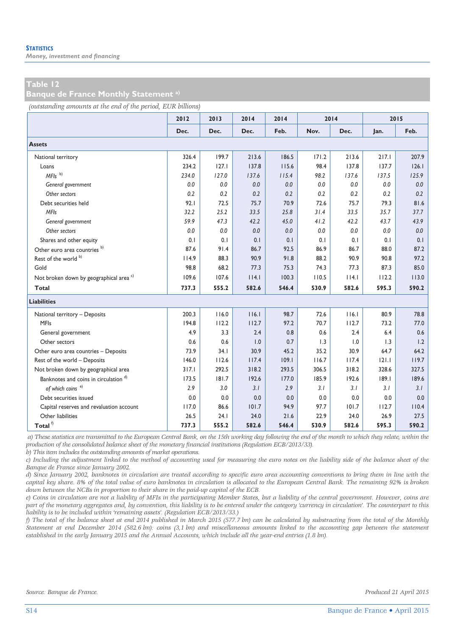*Money, investment and financing* 

#### **Table 12**

**Banque de France Monthly Statement a)**

*(outstanding amounts at the end of the period, EUR billions)*

|                                                    | 2012  | 2013  | 2014  | 2014  | 2014  |       | 2015  |       |
|----------------------------------------------------|-------|-------|-------|-------|-------|-------|-------|-------|
|                                                    | Dec.  | Dec.  | Dec.  | Feb.  | Nov.  | Dec.  | Jan.  | Feb.  |
| <b>Assets</b>                                      |       |       |       |       |       |       |       |       |
| National territory                                 | 326.4 | 199.7 | 213.6 | 186.5 | 171.2 | 213.6 | 217.1 | 207.9 |
| Loans                                              | 234.2 | 127.1 | 137.8 | 115.6 | 98.4  | 137.8 | 137.7 | 126.1 |
| $MFls$ <sup>b)</sup>                               | 234.0 | 127.0 | 137.6 | 115.4 | 98.2  | 137.6 | 137.5 | 125.9 |
| General government                                 | 0.0   | 0.0   | 0.0   | 0.0   | 0.0   | 0.0   | 0.0   | 0.0   |
| Other sectors                                      | 0.2   | 0.2   | 0.2   | 0.2   | 0.2   | 0.2   | 0.2   | 0.2   |
| Debt securities held                               | 92.1  | 72.5  | 75.7  | 70.9  | 72.6  | 75.7  | 79.3  | 81.6  |
| <b>MFIs</b>                                        | 32.2  | 25.2  | 33.5  | 25.8  | 31.4  | 33.5  | 35.7  | 37.7  |
| General government                                 | 59.9  | 47.3  | 42.2  | 45.0  | 41.2  | 42.2  | 43.7  | 43.9  |
| Other sectors                                      | 0.0   | 0.0   | 0.0   | 0.0   | 0.0   | 0.0   | 0.0   | 0.0   |
| Shares and other equity                            | 0.1   | 0.1   | 0.1   | 0.1   | 0.1   | 0.1   | 0.1   | 0.1   |
| Other euro area countries <sup>b)</sup>            | 87.6  | 91.4  | 86.7  | 92.5  | 86.9  | 86.7  | 88.0  | 87.2  |
| Rest of the world b)                               | 114.9 | 88.3  | 90.9  | 91.8  | 88.2  | 90.9  | 90.8  | 97.2  |
| Gold                                               | 98.8  | 68.2  | 77.3  | 75.3  | 74.3  | 77.3  | 87.3  | 85.0  |
| Not broken down by geographical area <sup>c)</sup> | 109.6 | 107.6 | 114.1 | 100.3 | 110.5 | 14.1  | 112.2 | 113.0 |
| Total                                              | 737.3 | 555.2 | 582.6 | 546.4 | 530.9 | 582.6 | 595.3 | 590.2 |
| <b>Liabilities</b>                                 |       |       |       |       |       |       |       |       |
| National territory - Deposits                      | 200.3 | 116.0 | 116.1 | 98.7  | 72.6  | 16.1  | 80.9  | 78.8  |
| <b>MFIs</b>                                        | 194.8 | 112.2 | 112.7 | 97.2  | 70.7  | 112.7 | 73.2  | 77.0  |
| General government                                 | 4.9   | 3.3   | 2.4   | 0.8   | 0.6   | 2.4   | 6.4   | 0.6   |
| Other sectors                                      | 0.6   | 0.6   | 1.0   | 0.7   | 1.3   | 1.0   | 1.3   | 1.2   |
| Other euro area countries - Deposits               | 73.9  | 34.1  | 30.9  | 45.2  | 35.2  | 30.9  | 64.7  | 64.2  |
| Rest of the world - Deposits                       | 146.0 | 112.6 | 117.4 | 109.1 | 116.7 | 117.4 | 121.1 | 119.7 |
| Not broken down by geographical area               | 317.1 | 292.5 | 318.2 | 293.5 | 306.5 | 318.2 | 328.6 | 327.5 |
| Banknotes and coins in circulation <sup>d)</sup>   | 173.5 | 181.7 | 192.6 | 177.0 | 185.9 | 192.6 | 189.1 | 189.6 |
| of which coins <sup>e)</sup>                       | 2.9   | 3.0   | 3.1   | 2.9   | 3.1   | 3.1   | 3.1   | 3.1   |
| Debt securities issued                             | 0.0   | 0.0   | 0.0   | 0.0   | 0.0   | 0.0   | 0.0   | 0.0   |
| Capital reserves and revaluation account           | 117.0 | 86.6  | 101.7 | 94.9  | 97.7  | 101.7 | 112.7 | 110.4 |
| Other liabilities                                  | 26.5  | 24.1  | 24.0  | 21.6  | 22.9  | 24.0  | 26.9  | 27.5  |
| Total $^{\rm f)}$                                  | 737.3 | 555.2 | 582.6 | 546.4 | 530.9 | 582.6 | 595.3 | 590.2 |

 *a) These statistics are transmitted to the European Central Bank, on the 15th working day following the end of the month to which they relate, within the production of the consolidated balance sheet of the monetary financial institutions (Regulation ECB/2013/33).* 

*b) This item includes the outstanding amounts of market operations.* 

*c) Including the adjustment linked to the method of accounting used for measuring the euro notes on the liability side of the balance sheet of the Banque de France since January 2002.* 

*d) Since January 2002, banknotes in circulation are treated according to specific euro area accounting conventions to bring them in line with the capital key share. 8% of the total value of euro banknotes in circulation is allocated to the European Central Bank. The remaining 92% is broken down between the NCBs in proportion to their share in the paid-up capital of the ECB.* 

*e) Coins in circulation are not a liability of MFIs in the participating Member States, but a liability of the central government. However, coins are part of the monetary aggregates and, by convention, this liability is to be entered under the category 'currency in circulation'. The counterpart to this liability is to be included within 'remaining assets'. (Regulation ECB/2013/33.)* 

*f) The total of the balance sheet at end 2014 published in March 2015 (577.7 bn) can be calculated by substracting from the total of the Monthly Statement at end December 2014 (582.6 bn): coins (3,1 bn) and miscellaneous amounts linked to the accounting gap between the statement established in the early January 2015 and the Annual Accounts, which include all the year-end entries (1.8 bn).*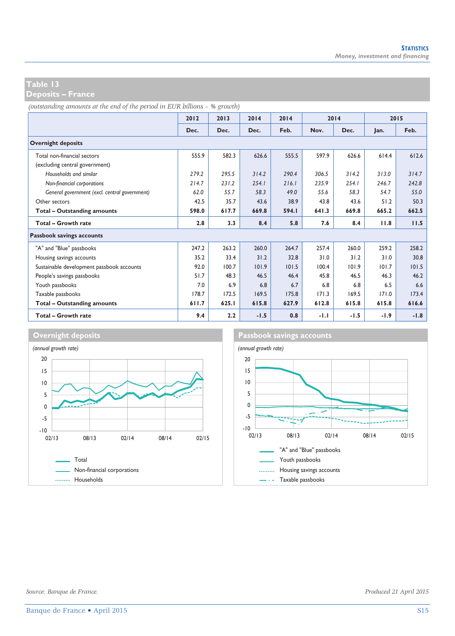**Deposits – France** 

*(outstanding amounts at the end of the period in EUR billions – % growth)*

|                                               | 2012  | 2013  | 2014   | 2014  |        | 2014   |        | 2015   |
|-----------------------------------------------|-------|-------|--------|-------|--------|--------|--------|--------|
|                                               | Dec.  | Dec.  | Dec.   | Feb.  | Nov.   | Dec.   | Jan.   | Feb.   |
| <b>Overnight deposits</b>                     |       |       |        |       |        |        |        |        |
| Total non-financial sectors                   | 555.9 | 582.3 | 626.6  | 555.5 | 597.9  | 626.6  | 614.4  | 612.6  |
| (excluding central government)                |       |       |        |       |        |        |        |        |
| Households and similar                        | 279.2 | 295.5 | 314.2  | 290.4 | 306.5  | 314.2  | 313.0  | 314.7  |
| Non-financial corporations                    | 214.7 | 231.2 | 254.1  | 216.1 | 235.9  | 254.1  | 246.7  | 242.8  |
| General government (excl. central government) | 62.0  | 55.7  | 58.3   | 49.0  | 55.6   | 58.3   | 54.7   | 55.0   |
| Other sectors                                 | 42.5  | 35.7  | 43.6   | 38.9  | 43.8   | 43.6   | 51.2   | 50.3   |
| Total - Outstanding amounts                   | 598.0 | 617.7 | 669.8  | 594.I | 641.3  | 669.8  | 665.2  | 662.5  |
| Total - Growth rate                           | 2.8   | 3.3   | 8.4    | 5.8   | 7.6    | 8.4    | 11.8   | 11.5   |
| Passbook savings accounts                     |       |       |        |       |        |        |        |        |
| "A" and "Blue" passbooks                      | 247.2 | 263.2 | 260.0  | 264.7 | 257.4  | 260.0  | 259.2  | 258.2  |
| Housing savings accounts                      | 35.2  | 33.4  | 31.2   | 32.8  | 31.0   | 31.2   | 31.0   | 30.8   |
| Sustainable development passbook accounts     | 92.0  | 100.7 | 101.9  | 101.5 | 100.4  | 101.9  | 101.7  | 101.5  |
| People's savings passbooks                    | 51.7  | 48.3  | 46.5   | 46.4  | 45.8   | 46.5   | 46.3   | 46.2   |
| Youth passbooks                               | 7.0   | 6.9   | 6.8    | 6.7   | 6.8    | 6.8    | 6.5    | 6.6    |
| Taxable passbooks                             | 178.7 | 172.5 | 169.5  | 175.8 | 171.3  | 169.5  | 171.0  | 173.4  |
| Total - Outstanding amounts                   | 611.7 | 625.1 | 615.8  | 627.9 | 612.8  | 615.8  | 615.8  | 616.6  |
| Total - Growth rate                           | 9.4   | 2.2   | $-1.5$ | 0.8   | $-1.1$ | $-1.5$ | $-1.9$ | $-1.8$ |



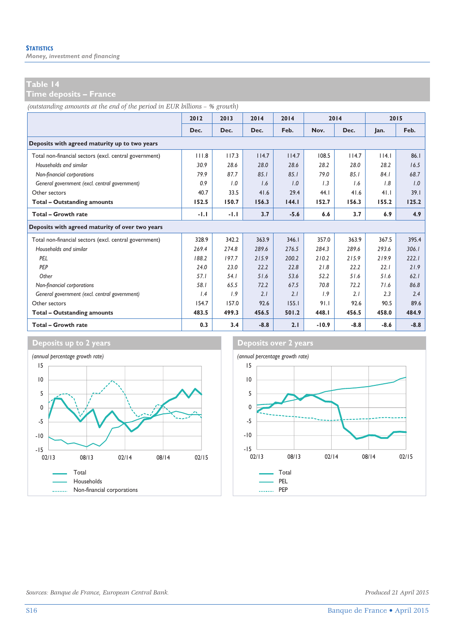*Money, investment and financing* 

**Time deposits – France** 

*(outstanding amounts at the end of the period in EUR billions – % growth)*

|                                                        | 2012  | 2013   | 2014   | 2014   |         | 2014   | 2015   |        |
|--------------------------------------------------------|-------|--------|--------|--------|---------|--------|--------|--------|
|                                                        | Dec.  | Dec.   | Dec.   | Feb.   | Nov.    | Dec.   | lan.   | Feb.   |
| Deposits with agreed maturity up to two years          |       |        |        |        |         |        |        |        |
| Total non-financial sectors (excl. central government) | 111.8 | 117.3  | 114.7  | 114.7  | 108.5   | 114.7  | 14.1   | 86.1   |
| Households and similar                                 | 30.9  | 28.6   | 28.0   | 28.6   | 28.2    | 28.0   | 28.2   | 16.5   |
| Non-financial corporations                             | 79.9  | 87.7   | 85.1   | 85.1   | 79.0    | 85.1   | 84.1   | 68.7   |
| General government (excl. central government)          | 0.9   | 1.0    | 1.6    | 1.0    | 1.3     | 1.6    | 1.8    | 1.0    |
| Other sectors                                          | 40.7  | 33.5   | 41.6   | 29.4   | 44.1    | 41.6   | 41.1   | 39.1   |
| <b>Total - Outstanding amounts</b>                     | 152.5 | 150.7  | 156.3  | 144.1  | 152.7   | 156.3  | 155.2  | 125.2  |
| Total - Growth rate                                    | -1.1  | $-1.1$ | 3.7    | $-5.6$ | 6.6     | 3.7    | 6.9    | 4.9    |
| Deposits with agreed maturity of over two years        |       |        |        |        |         |        |        |        |
| Total non-financial sectors (excl. central government) | 328.9 | 342.2  | 363.9  | 346.1  | 357.0   | 363.9  | 367.5  | 395.4  |
| Households and similar                                 | 269.4 | 274.8  | 289.6  | 276.5  | 284.3   | 289.6  | 293.6  | 306.1  |
| PFI                                                    | 188.2 | 197.7  | 215.9  | 200.2  | 210.2   | 215.9  | 219.9  | 222.1  |
| PFP                                                    | 24.0  | 23.0   | 22.2   | 22.8   | 21.8    | 22.2   | 22.1   | 21.9   |
| Other                                                  | 57.1  | 54. I  | 51.6   | 53.6   | 52.2    | 51.6   | 51.6   | 62.1   |
| Non-financial corporations                             | 58.I  | 65.5   | 72.2   | 67.5   | 70.8    | 72.2   | 71.6   | 86.8   |
| General government (excl. central government)          | 1.4   | 1.9    | 2.1    | 2.1    | 1.9     | 2.1    | 2.3    | 2.4    |
| Other sectors                                          | 154.7 | 157.0  | 92.6   | 155.1  | 91.1    | 92.6   | 90.5   | 89.6   |
| Total - Outstanding amounts                            | 483.5 | 499.3  | 456.5  | 501.2  | 448.I   | 456.5  | 458.0  | 484.9  |
| Total - Growth rate                                    | 0.3   | 3.4    | $-8.8$ | 2.1    | $-10.9$ | $-8.8$ | $-8.6$ | $-8.8$ |



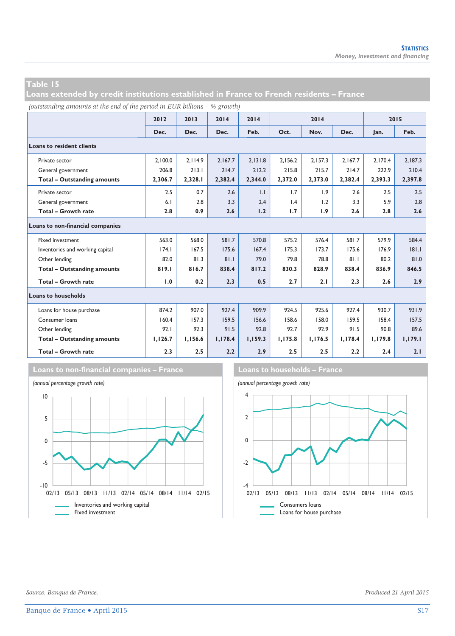**Loans extended by credit institutions established in France to French residents – France** 

*(outstanding amounts at the end of the period in EUR billions – % growth)*

|                                    | 2012    | 2013    | 2014    | 2014    |         | 2014    |         | 2015    |         |  |
|------------------------------------|---------|---------|---------|---------|---------|---------|---------|---------|---------|--|
|                                    | Dec.    | Dec.    | Dec.    | Feb.    | Oct.    | Nov.    | Dec.    | Jan.    | Feb.    |  |
| <b>Loans to resident clients</b>   |         |         |         |         |         |         |         |         |         |  |
| Private sector                     | 2.100.0 | 2.114.9 | 2.167.7 | 2.131.8 | 2.156.2 | 2.157.3 | 2.167.7 | 2.170.4 | 2.187.3 |  |
| General government                 | 206.8   | 213.1   | 214.7   | 212.2   | 215.8   | 215.7   | 214.7   | 222.9   | 210.4   |  |
| <b>Total - Outstanding amounts</b> | 2,306.7 | 2,328.1 | 2,382.4 | 2,344.0 | 2,372.0 | 2,373.0 | 2,382.4 | 2,393.3 | 2,397.8 |  |
| Private sector                     | 2.5     | 0.7     | 2.6     | 1.1     | 1.7     | 1.9     | 2.6     | 2.5     | 2.5     |  |
| General government                 | 6.1     | 2.8     | 3.3     | 2.4     | 1.4     | 1.2     | 3.3     | 5.9     | 2.8     |  |
| <b>Total - Growth rate</b>         | 2.8     | 0.9     | 2.6     | 1.2     | 1.7     | 1.9     | 2.6     | 2.8     | 2.6     |  |
| Loans to non-financial companies   |         |         |         |         |         |         |         |         |         |  |
| Fixed investment                   | 563.0   | 568.0   | 581.7   | 570.8   | 575.2   | 576.4   | 581.7   | 579.9   | 584.4   |  |
| Inventories and working capital    | 174.1   | 167.5   | 175.6   | 167.4   | 175.3   | 173.7   | 175.6   | 176.9   | 181.1   |  |
| Other lending                      | 82.0    | 81.3    | 81.1    | 79.0    | 79.8    | 78.8    | 81.1    | 80.2    | 81.0    |  |
| <b>Total - Outstanding amounts</b> | 819.1   | 816.7   | 838.4   | 817.2   | 830.3   | 828.9   | 838.4   | 836.9   | 846.5   |  |
| <b>Total - Growth rate</b>         | 1.0     | 0.2     | 2.3     | 0.5     | 2.7     | 2.1     | 2.3     | 2.6     | 2.9     |  |
| <b>Loans to households</b>         |         |         |         |         |         |         |         |         |         |  |
| Loans for house purchase           | 874.2   | 907.0   | 927.4   | 909.9   | 924.5   | 925.6   | 927.4   | 930.7   | 931.9   |  |
| Consumer loans                     | 160.4   | 157.3   | 159.5   | 156.6   | 158.6   | 158.0   | 159.5   | 158.4   | 157.5   |  |
| Other lending                      | 92.1    | 92.3    | 91.5    | 92.8    | 92.7    | 92.9    | 91.5    | 90.8    | 89.6    |  |
| <b>Total - Outstanding amounts</b> | 1,126.7 | 1,156.6 | 1,178.4 | 1,159.3 | 1,175.8 | 1,176.5 | 1,178.4 | 1,179.8 | 1,179.1 |  |
| Total - Growth rate                | 2.3     | 2.5     | 2.2     | 2.9     | 2.5     | 2.5     | 2.2     | 2.4     | 2.1     |  |





*Source: Banque de France. Produced 21 April 2015*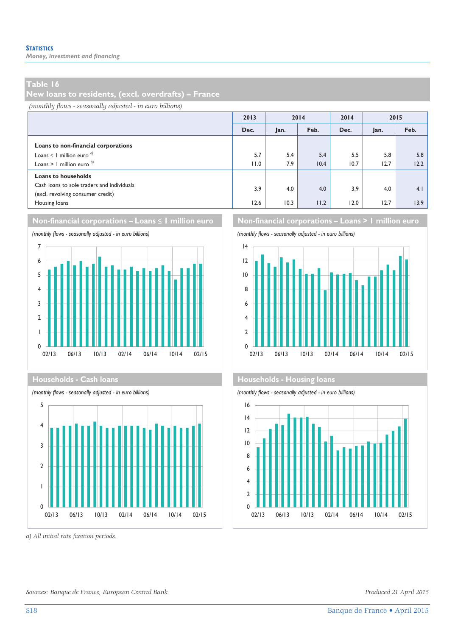*Money, investment and financing* 

#### **Table 16**

**New loans to residents, (excl. overdrafts) – France** 

*(monthly flows - seasonally adjusted - in euro billions)*

|                                                                                 | 2013 | 2014 |      | 2014 | 2015 |      |
|---------------------------------------------------------------------------------|------|------|------|------|------|------|
|                                                                                 | Dec. | Jan. | Feb. | Dec. | Jan. | Feb. |
| Loans to non-financial corporations                                             |      |      |      |      |      |      |
| Loans $\leq$ 1 million euro <sup>d</sup>                                        | 5.7  | 5.4  | 5.4  | 5.5  | 5.8  | 5.8  |
| Loans > 1 million euro $a$                                                      | 11.0 | 7.9  | 10.4 | 10.7 | 12.7 | 12.2 |
| <b>Loans to households</b>                                                      |      |      |      |      |      |      |
| Cash loans to sole traders and individuals<br>(excl. revolving consumer credit) | 3.9  | 4.0  | 4.0  | 3.9  | 4.0  | 4.1  |
| Housing loans                                                                   | 12.6 | 10.3 | 11.2 | 12.0 | 12.7 | 13.9 |







*a) All initial rate fixation periods.* 



#### **Households - Cash loans Households - Cash loans**

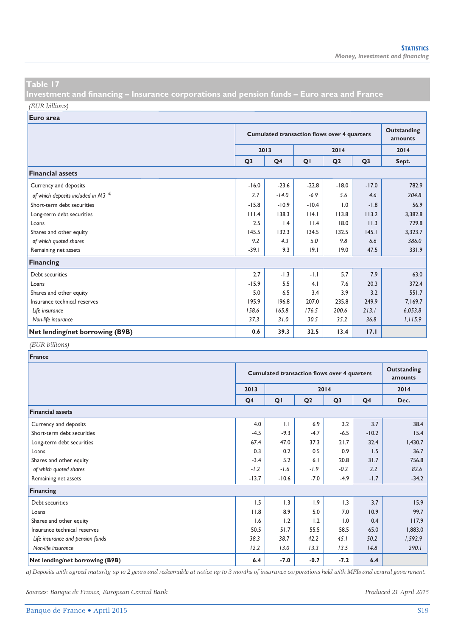**Investment and financing – Insurance corporations and pension funds – Euro area and France**  *(EUR billions)*

**Euro area**

|                                          |                | <b>Cumulated transaction flows over 4 quarters</b> |         |                |                |         |  |
|------------------------------------------|----------------|----------------------------------------------------|---------|----------------|----------------|---------|--|
|                                          |                | 2013                                               |         | 2014           |                | 2014    |  |
|                                          | Q <sub>3</sub> | Q <sub>4</sub>                                     | QI      | Q <sub>2</sub> | Q <sub>3</sub> | Sept.   |  |
| <b>Financial assets</b>                  |                |                                                    |         |                |                |         |  |
| Currency and deposits                    | $-16.0$        | $-23.6$                                            | $-22.8$ | $-18.0$        | $-17.0$        | 782.9   |  |
| of which deposits included in M3 $^{a)}$ | 2.7            | $-14.0$                                            | $-6.9$  | 5.6            | 4.6            | 204.8   |  |
| Short-term debt securities               | $-15.8$        | $-10.9$                                            | $-10.4$ | 1.0            | $-1.8$         | 56.9    |  |
| Long-term debt securities                | 111.4          | 138.3                                              | 14.1    | 113.8          | 113.2          | 3,382.8 |  |
| Loans                                    | 2.5            | 1.4                                                | 11.4    | 18.0           | 11.3           | 729.8   |  |
| Shares and other equity                  | 145.5          | 132.3                                              | 134.5   | 132.5          | 145.1          | 3,323.7 |  |
| of which quoted shares                   | 9.2            | 4.3                                                | 5.0     | 9.8            | 6.6            | 386.0   |  |
| Remaining net assets                     | $-39.1$        | 9.3                                                | 9.1     | 19.0           | 47.5           | 331.9   |  |
| <b>Financing</b>                         |                |                                                    |         |                |                |         |  |
| Debt securities                          | 2.7            | $-1.3$                                             | $-1.1$  | 5.7            | 7.9            | 63.0    |  |
| Loans                                    | $-15.9$        | 5.5                                                | 4.1     | 7.6            | 20.3           | 372.4   |  |
| Shares and other equity                  | 5.0            | 6.5                                                | 3.4     | 3.9            | 3.2            | 551.7   |  |
| Insurance technical reserves             | 195.9          | 196.8                                              | 207.0   | 235.8          | 249.9          | 7,169.7 |  |
| Life insurance                           | 158.6          | 165.8                                              | 176.5   | 200.6          | 213.1          | 6,053.8 |  |
| Non-life insurance                       | 37.3           | 31.0                                               | 30.5    | 35.2           | 36.8           | 1,115.9 |  |
| Net lending/net borrowing (B9B)          | 0.6            | 39.3                                               | 32.5    | 13.4           | 17.1           |         |  |

#### *(EUR billions)*

| <b>France</b>                    |                |                                                    |                |                |                |         |  |  |  |
|----------------------------------|----------------|----------------------------------------------------|----------------|----------------|----------------|---------|--|--|--|
|                                  |                | <b>Cumulated transaction flows over 4 quarters</b> |                |                |                |         |  |  |  |
|                                  | 2013           |                                                    |                | 2014           |                | 2014    |  |  |  |
|                                  | Q <sub>4</sub> | QI                                                 | Q <sub>2</sub> | Q <sub>3</sub> | Q <sub>4</sub> | Dec.    |  |  |  |
| <b>Financial assets</b>          |                |                                                    |                |                |                |         |  |  |  |
| Currency and deposits            | 4.0            | $\mathbf{L}$                                       | 6.9            | 3.2            | 3.7            | 38.4    |  |  |  |
| Short-term debt securities       | $-4.5$         | $-9.3$                                             | $-4.7$         | $-6.5$         | $-10.2$        | 15.4    |  |  |  |
| Long-term debt securities        | 67.4           | 47.0                                               | 37.3           | 21.7           | 32.4           | 1,430.7 |  |  |  |
| Loans                            | 0.3            | 0.2                                                | 0.5            | 0.9            | 1.5            | 36.7    |  |  |  |
| Shares and other equity          | $-3.4$         | 5.2                                                | 6.1            | 20.8           | 31.7           | 756.8   |  |  |  |
| of which quoted shares           | $-1.2$         | $-1.6$                                             | $-1.9$         | $-0.2$         | 2.2            | 82.6    |  |  |  |
| Remaining net assets             | $-13.7$        | $-10.6$                                            | $-7.0$         | $-4.9$         | $-1.7$         | $-34.2$ |  |  |  |
| Financing                        |                |                                                    |                |                |                |         |  |  |  |
| Debt securities                  | 1.5            | 1.3                                                | 1.9            | 1.3            | 3.7            | 15.9    |  |  |  |
| Loans                            | 11.8           | 8.9                                                | 5.0            | 7.0            | 10.9           | 99.7    |  |  |  |
| Shares and other equity          | 1.6            | 1.2                                                | 1.2            | 1.0            | 0.4            | 117.9   |  |  |  |
| Insurance technical reserves     | 50.5           | 51.7                                               | 55.5           | 58.5           | 65.0           | 1,883.0 |  |  |  |
| Life insurance and pension funds | 38.3           | 38.7                                               | 42.2           | 45.1           | 50.2           | 1,592.9 |  |  |  |
| Non-life insurance               | 12.2           | 13.0                                               | 13.3           | 13.5           | 14.8           | 290.1   |  |  |  |
| Net lending/net borrowing (B9B)  | 6.4            | $-7.0$                                             | $-0.7$         | $-7.2$         | 6.4            |         |  |  |  |

*a) Deposits with agreed maturity up to 2 years and redeemable at notice up to 3 months of insurance corporations held with MFIs and central government.* 

*Sources: Banque de France, European Central Bank. Produced 21 April 2015*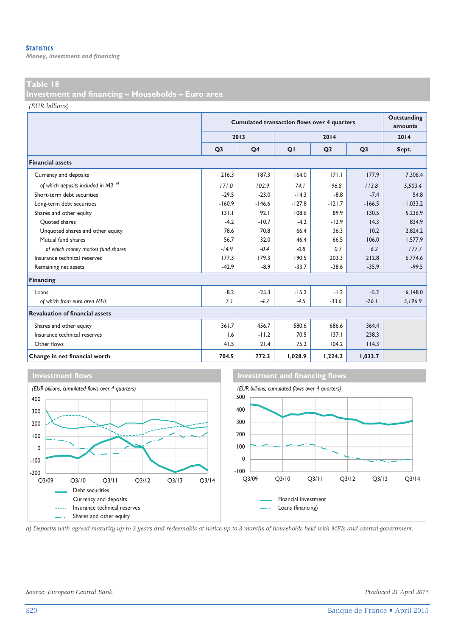*Money, investment and financing* 

#### **Table 18**

**Investment and financing – Households – Euro area** 

*(EUR billions)*

|                                         |                | <b>Cumulated transaction flows over 4 quarters</b> | <b>Outstanding</b><br>amounts |                |                |         |
|-----------------------------------------|----------------|----------------------------------------------------|-------------------------------|----------------|----------------|---------|
|                                         |                | 2013                                               |                               | 2014           |                | 2014    |
|                                         | Q <sub>3</sub> | Q <sub>4</sub>                                     | QI                            | Q <sub>2</sub> | Q <sub>3</sub> | Sept.   |
| <b>Financial assets</b>                 |                |                                                    |                               |                |                |         |
| Currency and deposits                   | 216.3          | 187.3                                              | 164.0                         | 171.1          | 177.9          | 7,306.4 |
| of which deposits included in M3 $^{q}$ | 171.0          | 102.9                                              | 74.1                          | 96.8           | 113.8          | 5,503.4 |
| Short-term debt securities              | $-29.5$        | $-23.0$                                            | $-14.3$                       | $-8.8$         | $-7.4$         | 54.8    |
| Long-term debt securities               | $-160.9$       | $-146.6$                                           | $-127.8$                      | $-121.7$       | $-166.5$       | 1.033.2 |
| Shares and other equity                 | 131.1          | 92.1                                               | 108.6                         | 89.9           | 130.5          | 5.236.9 |
| Ouoted shares                           | $-4.2$         | $-10.7$                                            | $-4.2$                        | $-12.9$        | 14.3           | 834.9   |
| Unquoted shares and other equity        | 78.6           | 70.8                                               | 66.4                          | 36.3           | 10.2           | 2,824.2 |
| Mutual fund shares                      | 56.7           | 32.0                                               | 46.4                          | 66.5           | 106.0          | 1,577.9 |
| of which money market fund shares       | $-14.9$        | $-0.4$                                             | $-0.8$                        | 0.7            | 6.2            | 177.7   |
| Insurance technical reserves            | 177.3          | 179.3                                              | 190.5                         | 203.3          | 212.8          | 6.774.6 |
| Remaining net assets                    | $-42.9$        | $-8.9$                                             | $-33.7$                       | $-38.6$        | $-35.9$        | $-99.5$ |
| Financing                               |                |                                                    |                               |                |                |         |
| Loans                                   | $-8.2$         | $-25.3$                                            | $-15.2$                       | $-1.2$         | $-5.2$         | 6,148.0 |
| of which from euro area MFIs            | 7.5            | $-4.2$                                             | $-4.5$                        | $-33.6$        | $-26.1$        | 5,196.9 |
| <b>Revaluation of financial assets</b>  |                |                                                    |                               |                |                |         |
| Shares and other equity                 | 361.7          | 456.7                                              | 580.6                         | 686.6          | 364.4          |         |
| Insurance technical reserves            | 1.6            | $-11.2$                                            | 70.5                          | 137.1          | 238.3          |         |
| Other flows                             | 41.5           | 21.4                                               | 75.2                          | 104.2          | 114.3          |         |
| Change in net financial worth           | 704.5          | 772.3                                              | 1.028.9                       | 1,224.2        | 1,033.7        |         |





*a) Deposits with agreed maturity up to 2 years and redeemable at notice up to 3 months of households held with MFIs and central government.* 

*Source: European Central Bank. Produced 21 April 2015*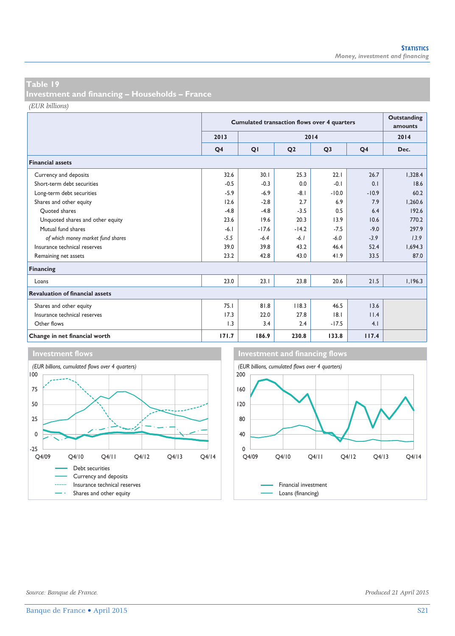**Investment and financing – Households – France** 

*(EUR billions)*

|                                        |                | <b>Cumulated transaction flows over 4 quarters</b> | <b>Outstanding</b><br>amounts |                |                |         |
|----------------------------------------|----------------|----------------------------------------------------|-------------------------------|----------------|----------------|---------|
|                                        | 2013           |                                                    |                               | 2014           |                | 2014    |
|                                        | Q <sub>4</sub> | QI                                                 | Q <sub>2</sub>                | Q <sub>3</sub> | Q <sub>4</sub> | Dec.    |
| <b>Financial assets</b>                |                |                                                    |                               |                |                |         |
| Currency and deposits                  | 32.6           | 30.1                                               | 25.3                          | 22.1           | 26.7           | 1,328.4 |
| Short-term debt securities             | $-0.5$         | $-0.3$                                             | 0.0                           | $-0.1$         | 0.1            | 18.6    |
| Long-term debt securities              | $-5.9$         | $-6.9$                                             | $-8.1$                        | $-10.0$        | $-10.9$        | 60.2    |
| Shares and other equity                | 12.6           | $-2.8$                                             | 2.7                           | 6.9            | 7.9            | 1,260.6 |
| Ouoted shares                          | $-4.8$         | $-4.8$                                             | $-3.5$                        | 0.5            | 6.4            | 192.6   |
| Unquoted shares and other equity       | 23.6           | 19.6                                               | 20.3                          | 13.9           | 10.6           | 770.2   |
| Mutual fund shares                     | $-6.1$         | $-17.6$                                            | $-14.2$                       | $-7.5$         | $-9.0$         | 297.9   |
| of which money market fund shares      | $-5.5$         | $-6.4$                                             | $-6.1$                        | $-6.0$         | $-3.9$         | 13.9    |
| Insurance technical reserves           | 39.0           | 39.8                                               | 43.2                          | 46.4           | 52.4           | 1.694.3 |
| Remaining net assets                   | 23.2           | 42.8                                               | 43.0                          | 41.9           | 33.5           | 87.0    |
| Financing                              |                |                                                    |                               |                |                |         |
| Loans                                  | 23.0           | 23.1                                               | 23.8                          | 20.6           | 21.5           | 1,196.3 |
| <b>Revaluation of financial assets</b> |                |                                                    |                               |                |                |         |
| Shares and other equity                | 75.1           | 81.8                                               | 118.3                         | 46.5           | 13.6           |         |
| Insurance technical reserves           | 17.3           | 22.0                                               | 27.8                          | 18.1           | 11.4           |         |
| Other flows                            | 1.3            | 3.4                                                | 2.4                           | $-17.5$        | 4.1            |         |
| Change in net financial worth          | 171.7          | 186.9                                              | 230.8                         | 133.8          | 117.4          |         |





*Source: Banque de France. Produced 21 April 2015*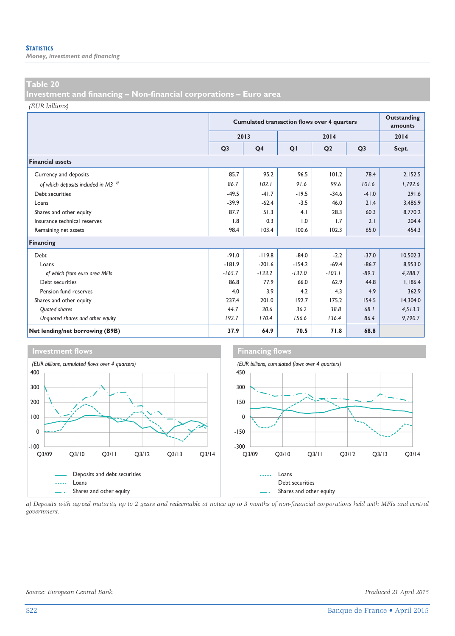*Money, investment and financing* 

#### **Table 20**

**Investment and financing – Non-financial corporations – Euro area** 

*(EUR billions)*

|                                          |                | <b>Cumulated transaction flows over 4 quarters</b> | Outstanding<br>amounts |                |                |          |
|------------------------------------------|----------------|----------------------------------------------------|------------------------|----------------|----------------|----------|
|                                          |                | 2013                                               |                        | 2014           |                | 2014     |
|                                          | Q <sub>3</sub> | Q <sub>4</sub>                                     | QI                     | Q <sub>2</sub> | Q <sub>3</sub> | Sept.    |
| <b>Financial assets</b>                  |                |                                                    |                        |                |                |          |
| Currency and deposits                    | 85.7           | 95.2                                               | 96.5                   | 101.2          | 78.4           | 2,152.5  |
| of which deposits included in M3 $^{a)}$ | 86.7           | 102.1                                              | 91.6                   | 99.6           | 101.6          | 1.792.6  |
| Debt securities                          | $-49.5$        | $-41.7$                                            | $-19.5$                | $-34.6$        | $-41.0$        | 291.6    |
| Loans                                    | $-39.9$        | $-62.4$                                            | $-3.5$                 | 46.0           | 21.4           | 3,486.9  |
| Shares and other equity                  | 87.7           | 51.3                                               | 4.1                    | 28.3           | 60.3           | 8,770.2  |
| Insurance technical reserves             | 1.8            | 0.3                                                | 1.0                    | 1.7            | 2.1            | 204.4    |
| Remaining net assets                     | 98.4           | 103.4                                              | 100.6                  | 102.3          | 65.0           | 454.3    |
| Financing                                |                |                                                    |                        |                |                |          |
| Debt                                     | $-91.0$        | $-119.8$                                           | $-84.0$                | $-2.2$         | $-37.0$        | 10,502.3 |
| Loans                                    | $-181.9$       | $-201.6$                                           | $-154.2$               | $-69.4$        | $-86.7$        | 8.953.0  |
| of which from euro area MFIs             | $-165.7$       | $-133.2$                                           | $-137.0$               | $-103.1$       | $-89.3$        | 4.288.7  |
| Debt securities                          | 86.8           | 77.9                                               | 66.0                   | 62.9           | 44.8           | 1,186.4  |
| Pension fund reserves                    | 4.0            | 3.9                                                | 4.2                    | 4.3            | 4.9            | 362.9    |
| Shares and other equity                  | 237.4          | 201.0                                              | 192.7                  | 175.2          | 154.5          | 14,304.0 |
| <b>Ouoted shares</b>                     | 44.7           | 30.6                                               | 36.2                   | 38.8           | 68.I           | 4,513.3  |
| Unquoted shares and other equity         | 192.7          | 170.4                                              | 156.6                  | 136.4          | 86.4           | 9,790.7  |
| Net lending/net borrowing (B9B)          | 37.9           | 64.9                                               | 70.5                   | 71.8           | 68.8           |          |



*a) Deposits with agreed maturity up to 2 years and redeemable at notice up to 3 months of non-financial corporations held with MFIs and central government.*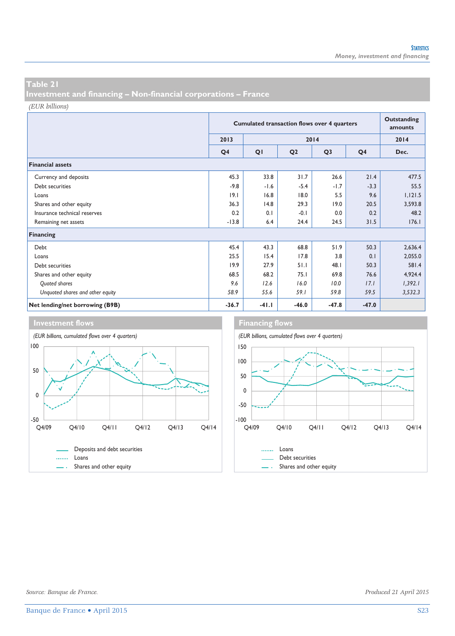**Investment and financing – Non-financial corporations – France** 

*(EUR billions)*

|                                  | <b>Cumulated transaction flows over 4 quarters</b> |         |                |                |                | Outstanding<br>amounts |  |  |
|----------------------------------|----------------------------------------------------|---------|----------------|----------------|----------------|------------------------|--|--|
|                                  | 2013                                               |         |                | 2014           |                | 2014                   |  |  |
|                                  | Q <sub>4</sub>                                     | QI      | Q <sub>2</sub> | Q <sub>3</sub> | Q <sub>4</sub> | Dec.                   |  |  |
| <b>Financial assets</b>          |                                                    |         |                |                |                |                        |  |  |
| Currency and deposits            | 45.3                                               | 33.8    | 31.7           | 26.6           | 21.4           | 477.5                  |  |  |
| Debt securities                  | $-9.8$                                             | $-1.6$  | $-5.4$         | $-1.7$         | $-3.3$         | 55.5                   |  |  |
| Loans                            | 19.1                                               | 16.8    | 18.0           | 5.5            | 9.6            | 1,121.5                |  |  |
| Shares and other equity          | 36.3                                               | 14.8    | 29.3           | 19.0           | 20.5           | 3,593.8                |  |  |
| Insurance technical reserves     | 0.2                                                | 0.1     | $-0.1$         | 0.0            | 0.2            | 48.2                   |  |  |
| Remaining net assets             | $-13.8$                                            | 6.4     | 24.4           | 24.5           | 31.5           | 176.1                  |  |  |
| Financing                        |                                                    |         |                |                |                |                        |  |  |
| Debt                             | 45.4                                               | 43.3    | 68.8           | 51.9           | 50.3           | 2,636.4                |  |  |
| Loans                            | 25.5                                               | 15.4    | 17.8           | 3.8            | 0.1            | 2,055.0                |  |  |
| Debt securities                  | 19.9                                               | 27.9    | 51.1           | 48.1           | 50.3           | 581.4                  |  |  |
| Shares and other equity          | 68.5                                               | 68.2    | 75.1           | 69.8           | 76.6           | 4,924.4                |  |  |
| Quoted shares                    | 9.6                                                | 12.6    | 16.0           | 10.0           | 17.1           | 1,392.1                |  |  |
| Unquoted shares and other equity | 58.9                                               | 55.6    | 59.1           | 59.8           | 59.5           | 3,532.3                |  |  |
| Net lending/net borrowing (B9B)  | $-36.7$                                            | $-41.1$ | $-46.0$        | $-47.8$        | $-47.0$        |                        |  |  |

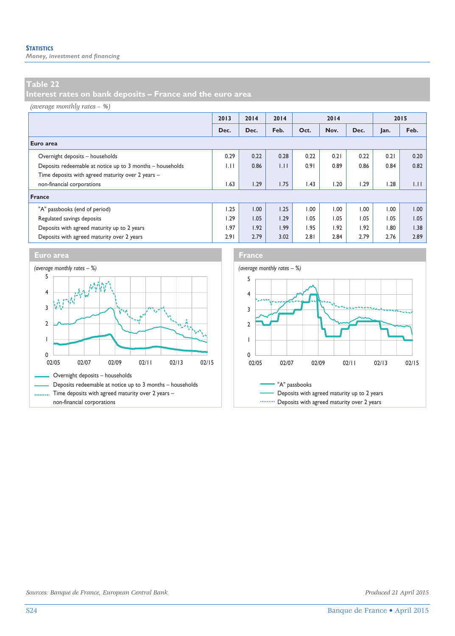*Money, investment and financing* 

### **Table 22**

**Interest rates on bank deposits – France and the euro area** 

#### *(average monthly rates – %)*

|                                                           | 2013 | 2014 | 2014 | 2014 |      |      | 2015 |      |
|-----------------------------------------------------------|------|------|------|------|------|------|------|------|
|                                                           | Dec. | Dec. | Feb. | Oct. | Nov. | Dec. | Jan. | Feb. |
| Euro area                                                 |      |      |      |      |      |      |      |      |
| Overnight deposits - households                           | 0.29 | 0.22 | 0.28 | 0.22 | 0.21 | 0.22 | 0.21 | 0.20 |
| Deposits redeemable at notice up to 3 months - households | 1.11 | 0.86 | 1.11 | 0.91 | 0.89 | 0.86 | 0.84 | 0.82 |
| Time deposits with agreed maturity over 2 years -         |      |      |      |      |      |      |      |      |
| non-financial corporations                                | 1.63 | 1.29 | 1.75 | 1.43 | 1.20 | 1.29 | 1.28 | 1.11 |
| France                                                    |      |      |      |      |      |      |      |      |
| "A" passbooks (end of period)                             | 1.25 | 1.00 | 1.25 | 1.00 | 00.1 | 00.1 | 1.00 | 00.1 |
| Regulated savings deposits                                | 1.29 | 1.05 | 1.29 | 1.05 | 1.05 | 1.05 | 1.05 | 1.05 |
| Deposits with agreed maturity up to 2 years               | 1.97 | 1.92 | 1.99 | 1.95 | 1.92 | 1.92 | 1.80 | 1.38 |
| Deposits with agreed maturity over 2 years                | 2.91 | 2.79 | 3.02 | 2.81 | 2.84 | 2.79 | 2.76 | 2.89 |







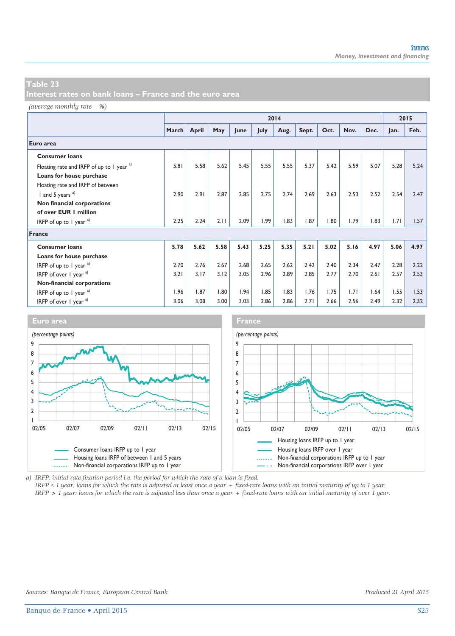*(average monthly rate – %)*

|                                           |       | 2014  |      |      |      |      |       |      |      | 2015 |      |      |
|-------------------------------------------|-------|-------|------|------|------|------|-------|------|------|------|------|------|
|                                           | March | April | May  | June | July | Aug. | Sept. | Oct. | Nov. | Dec. | Jan. | Feb. |
| Euro area                                 |       |       |      |      |      |      |       |      |      |      |      |      |
| <b>Consumer loans</b>                     |       |       |      |      |      |      |       |      |      |      |      |      |
| Floating rate and IRFP of up to 1 year a) | 5.81  | 5.58  | 5.62 | 5.45 | 5.55 | 5.55 | 5.37  | 5.42 | 5.59 | 5.07 | 5.28 | 5.24 |
| Loans for house purchase                  |       |       |      |      |      |      |       |      |      |      |      |      |
| Floating rate and IRFP of between         |       |       |      |      |      |      |       |      |      |      |      |      |
| I and 5 years <sup>a)</sup>               | 2.90  | 2.91  | 2.87 | 2.85 | 2.75 | 2.74 | 2.69  | 2.63 | 2.53 | 2.52 | 2.54 | 2.47 |
| Non financial corporations                |       |       |      |      |      |      |       |      |      |      |      |      |
| of over EUR   million                     |       |       |      |      |      |      |       |      |      |      |      |      |
| IRFP of up to 1 year $a^{(1)}$            | 2.25  | 2.24  | 2.11 | 2.09 | 1.99 | 1.83 | 1.87  | 1.80 | 1.79 | 1.83 | 1.71 | 1.57 |
| France                                    |       |       |      |      |      |      |       |      |      |      |      |      |
| <b>Consumer loans</b>                     | 5.78  | 5.62  | 5.58 | 5.43 | 5.25 | 5.35 | 5.21  | 5.02 | 5.16 | 4.97 | 5.06 | 4.97 |
| Loans for house purchase                  |       |       |      |      |      |      |       |      |      |      |      |      |
| IRFP of up to 1 year $a$ )                | 2.70  | 2.76  | 2.67 | 2.68 | 2.65 | 2.62 | 2.42  | 2.40 | 2.34 | 2.47 | 2.28 | 2.22 |
| IRFP of over $1$ year $a^{(1)}$           | 3.21  | 3.17  | 3.12 | 3.05 | 2.96 | 2.89 | 2.85  | 2.77 | 2.70 | 2.61 | 2.57 | 2.53 |
| Non-financial corporations                |       |       |      |      |      |      |       |      |      |      |      |      |
| IRFP of up to 1 year $a^{(1)}$            | 1.96  | 1.87  | 1.80 | 1.94 | 1.85 | 1.83 | 1.76  | 1.75 | 1.71 | 1.64 | 1.55 | 1.53 |
| IRFP of over $1$ year $a$ )               | 3.06  | 3.08  | 3.00 | 3.03 | 2.86 | 2.86 | 2.71  | 2.66 | 2.56 | 2.49 | 2.32 | 2.32 |



*a) IRFP: initial rate fixation period i.e. the period for which the rate of a loan is fixed.* 

*IRFP ≤ 1 year: loans for which the rate is adjusted at least once a year + fixed-rate loans with an initial maturity of up to 1 year. IRFP > 1 year: loans for which the rate is adjusted less than once a year + fixed-rate loans with an initial maturity of over 1 year.*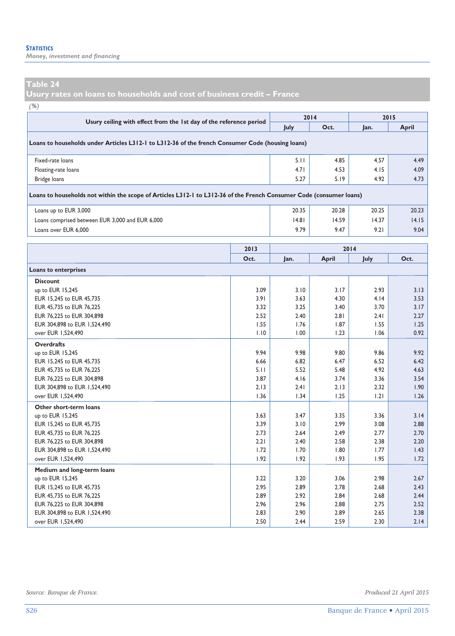*Money, investment and financing* 

**Usury rates on loans to households and cost of business credit – France** 

| I |  |
|---|--|

| $\sqrt{2}$<br>Usury ceiling with effect from the 1st day of the reference period                                    |       |       | 2014  | 2015  |              |
|---------------------------------------------------------------------------------------------------------------------|-------|-------|-------|-------|--------------|
|                                                                                                                     |       | July  | Oct.  | Jan.  | <b>April</b> |
| Loans to households under Articles L312-1 to L312-36 of the french Consumer Code (housing loans)                    |       |       |       |       |              |
| Fixed-rate loans                                                                                                    |       | 5.11  | 4.85  | 4.57  | 4.49         |
| Floating-rate loans                                                                                                 |       | 4.71  | 4.53  | 4.15  | 4.09         |
| Bridge loans                                                                                                        |       | 5.27  | 5.19  | 4.92  | 4.73         |
| Loans to households not within the scope of Articles L312-1 to L312-36 of the French Consumer Code (consumer loans) |       |       |       |       |              |
| Loans up to EUR 3,000                                                                                               | 20.35 | 20.28 | 20.25 | 20.23 |              |
| Loans comprised between EUR 3,000 and EUR 6,000                                                                     |       | 4.8   | 14.59 | 14.37 | 14.15        |
| Loans over EUR 6,000                                                                                                |       | 9.79  | 9.47  | 9.21  | 9.04         |
|                                                                                                                     |       |       |       |       |              |
|                                                                                                                     |       |       | 2014  |       |              |
|                                                                                                                     | Oct.  | Jan.  | April | July  | Oct.         |
| Loans to enterprises                                                                                                |       |       |       |       |              |
| <b>Discount</b>                                                                                                     |       |       |       |       |              |
| up to EUR 15,245                                                                                                    | 3.09  | 3.10  | 3.17  | 2.93  | 3.13         |
| EUR 15,245 to EUR 45,735                                                                                            | 3.91  | 3.63  | 4.30  | 4.14  | 3.53         |
| EUR 45,735 to EUR 76,225                                                                                            | 3.32  | 3.25  | 3.40  | 3.70  | 3.17         |
| EUR 76,225 to EUR 304,898                                                                                           | 2.52  | 2.40  | 2.81  | 2.41  | 2.27         |
| EUR 304,898 to EUR 1,524,490                                                                                        | 1.55  | 1.76  | 1.87  | 1.55  | 1.25         |
| over EUR 1,524,490                                                                                                  | 1.10  | 1.00  | 1.23  | 1.06  | 0.92         |
| <b>Overdrafts</b>                                                                                                   |       |       |       |       |              |
| up to EUR 15,245                                                                                                    | 9.94  | 9.98  | 9.80  | 9.86  | 9.92         |
| EUR 15,245 to EUR 45,735                                                                                            | 6.66  | 6.82  | 6.47  | 6.52  | 6.42         |
| EUR 45,735 to EUR 76,225                                                                                            | 5.11  | 5.52  | 5.48  | 4.92  | 4.63         |
| EUR 76,225 to EUR 304,898                                                                                           | 3.87  | 4.16  | 3.74  | 3.36  | 3.54         |
| EUR 304,898 to EUR 1,524,490                                                                                        | 2.13  | 2.41  | 2.13  | 2.32  | 1.90         |
| over EUR 1,524,490                                                                                                  | 1.36  | 1.34  | 1.25  | 1.21  | 1.26         |
| Other short-term loans                                                                                              |       |       |       |       |              |
| up to EUR 15,245                                                                                                    | 3.63  | 3.47  | 3.35  | 3.36  | 3.14         |
| EUR 15,245 to EUR 45,735                                                                                            | 3.39  | 3.10  | 2.99  | 3.08  | 2.88         |
| EUR 45,735 to EUR 76,225                                                                                            | 2.73  | 2.64  | 2.49  | 2.77  | 2.70         |
| EUR 76,225 to EUR 304,898                                                                                           | 2.21  | 2.40  | 2.58  | 2.38  | 2.20         |
| EUR 304,898 to EUR 1,524,490                                                                                        | 1.72  | 1.70  | 1.80  | 1.77  | 1.43         |
| over EUR 1,524,490                                                                                                  | 1.92  | 1.92  | 1.93  | 1.95  | 1.72         |
| Medium and long-term loans                                                                                          |       |       |       |       |              |
| up to EUR 15,245                                                                                                    | 3.22  | 3.20  | 3.06  | 2.98  | 2.67         |
| EUR 15,245 to EUR 45,735                                                                                            | 2.95  | 2.89  | 2.78  | 2.68  | 2.43         |
| EUR 45,735 to EUR 76,225                                                                                            | 2.89  | 2.92  | 2.84  | 2.68  | 2.44         |
| EUR 76,225 to EUR 304,898                                                                                           | 2.96  | 2.96  | 2.88  | 2.75  | 2.52         |
| EUR 304,898 to EUR 1,524,490                                                                                        | 2.83  | 2.90  | 2.89  | 2.65  | 2.38         |
| over EUR 1,524,490                                                                                                  | 2.50  | 2.44  | 2.59  | 2.30  | 2.14         |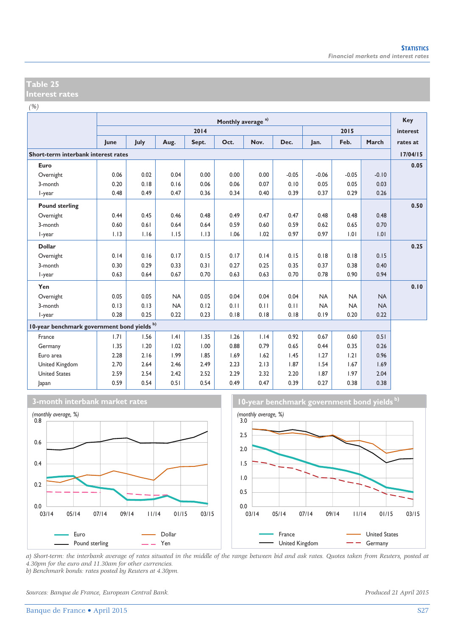*(%)*

|                                             | Monthly average <sup>a)</sup> |      |           |       |      |      |         |           |           |           | Key      |
|---------------------------------------------|-------------------------------|------|-----------|-------|------|------|---------|-----------|-----------|-----------|----------|
|                                             |                               |      |           | 2014  |      |      |         |           | 2015      |           | interest |
|                                             | June                          | July | Aug.      | Sept. | Oct. | Nov. | Dec.    | Jan.      | Feb.      | March     | rates at |
| Short-term interbank interest rates         |                               |      |           |       |      |      |         |           |           |           | 17/04/15 |
| Euro                                        |                               |      |           |       |      |      |         |           |           |           | 0.05     |
| Overnight                                   | 0.06                          | 0.02 | 0.04      | 0.00  | 0.00 | 0.00 | $-0.05$ | $-0.06$   | $-0.05$   | $-0.10$   |          |
| 3-month                                     | 0.20                          | 0.18 | 0.16      | 0.06  | 0.06 | 0.07 | 0.10    | 0.05      | 0.05      | 0.03      |          |
| I-year                                      | 0.48                          | 0.49 | 0.47      | 0.36  | 0.34 | 0.40 | 0.39    | 0.37      | 0.29      | 0.26      |          |
| <b>Pound sterling</b>                       |                               |      |           |       |      |      |         |           |           |           | 0.50     |
| Overnight                                   | 0.44                          | 0.45 | 0.46      | 0.48  | 0.49 | 0.47 | 0.47    | 0.48      | 0.48      | 0.48      |          |
| 3-month                                     | 0.60                          | 0.61 | 0.64      | 0.64  | 0.59 | 0.60 | 0.59    | 0.62      | 0.65      | 0.70      |          |
| I-year                                      | 1.13                          | 1.16 | 1.15      | 1.13  | 1.06 | 1.02 | 0.97    | 0.97      | 1.01      | 1.01      |          |
| <b>Dollar</b>                               |                               |      |           |       |      |      |         |           |           |           | 0.25     |
| Overnight                                   | 0.14                          | 0.16 | 0.17      | 0.15  | 0.17 | 0.14 | 0.15    | 0.18      | 0.18      | 0.15      |          |
| 3-month                                     | 0.30                          | 0.29 | 0.33      | 0.31  | 0.27 | 0.25 | 0.35    | 0.37      | 0.38      | 0.40      |          |
| I-year                                      | 0.63                          | 0.64 | 0.67      | 0.70  | 0.63 | 0.63 | 0.70    | 0.78      | 0.90      | 0.94      |          |
| Yen                                         |                               |      |           |       |      |      |         |           |           |           | 0.10     |
| Overnight                                   | 0.05                          | 0.05 | <b>NA</b> | 0.05  | 0.04 | 0.04 | 0.04    | <b>NA</b> | <b>NA</b> | <b>NA</b> |          |
| 3-month                                     | 0.13                          | 0.13 | <b>NA</b> | 0.12  | 0.11 | 0.11 | 0.11    | <b>NA</b> | <b>NA</b> | <b>NA</b> |          |
| I-year                                      | 0.28                          | 0.25 | 0.22      | 0.23  | 0.18 | 0.18 | 0.18    | 0.19      | 0.20      | 0.22      |          |
| 10-year benchmark government bond yields b) |                               |      |           |       |      |      |         |           |           |           |          |
| France                                      | 1.71                          | 1.56 | .4        | 1.35  | 1.26 | 1.14 | 0.92    | 0.67      | 0.60      | 0.51      |          |
| Germany                                     | 1.35                          | 1.20 | 1.02      | 1.00  | 0.88 | 0.79 | 0.65    | 0.44      | 0.35      | 0.26      |          |
| Euro area                                   | 2.28                          | 2.16 | 1.99      | 1.85  | 1.69 | 1.62 | 1.45    | 1.27      | 1.21      | 0.96      |          |
| United Kingdom                              | 2.70                          | 2.64 | 2.46      | 2.49  | 2.23 | 2.13 | 1.87    | 1.54      | 1.67      | 1.69      |          |
| <b>United States</b>                        | 2.59                          | 2.54 | 2.42      | 2.52  | 2.29 | 2.32 | 2.20    | 1.87      | 1.97      | 2.04      |          |
| Japan                                       | 0.59                          | 0.54 | 0.51      | 0.54  | 0.49 | 0.47 | 0.39    | 0.27      | 0.38      | 0.38      |          |





*a) Short-term: the interbank average of rates situated in the middle of the range between bid and ask rates. Quotes taken from Reuters, posted at 4.30pm for the euro and 11.30am for other currencies. b) Benchmark bonds: rates posted by Reuters at 4.30pm.* 

*Sources: Banque de France, European Central Bank. Produced 21 April 2015*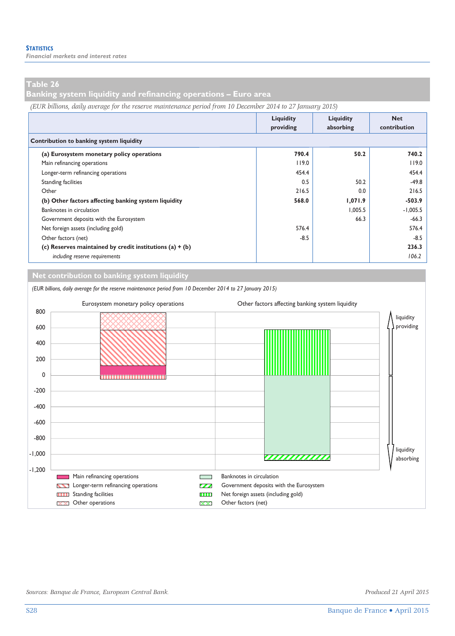**Banking system liquidity and refinancing operations – Euro area** 

*(EUR billions, daily average for the reserve maintenance period from 10 December 2014 to 27 January 2015)*

|                                                            | Liquidity<br>providing | Liquidity<br>absorbing | <b>Net</b><br>contribution |
|------------------------------------------------------------|------------------------|------------------------|----------------------------|
| Contribution to banking system liquidity                   |                        |                        |                            |
| (a) Eurosystem monetary policy operations                  | 790.4                  | 50.2                   | 740.2                      |
| Main refinancing operations                                | 119.0                  |                        | 119.0                      |
| Longer-term refinancing operations                         | 454.4                  |                        | 454.4                      |
| <b>Standing facilities</b>                                 | 0.5                    | 50.2                   | $-49.8$                    |
| Other                                                      | 216.5                  | 0.0                    | 216.5                      |
| (b) Other factors affecting banking system liquidity       | 568.0                  | 1,071.9                | -503.9                     |
| Banknotes in circulation                                   |                        | 1.005.5                | $-1,005.5$                 |
| Government deposits with the Eurosystem                    |                        | 66.3                   | $-66.3$                    |
| Net foreign assets (including gold)                        | 576.4                  |                        | 576.4                      |
| Other factors (net)                                        | $-8.5$                 |                        | $-8.5$                     |
| (c) Reserves maintained by credit institutions (a) $+$ (b) |                        |                        | 236.3                      |
| including reserve requirements                             |                        |                        | 106.2                      |

**Net contribution to banking system liquidity**

*(EUR billions, daily average for the reserve maintenance period from 10 December 2014 to 27 January 2015)* Eurosystem monetary policy operations Other factors affecting banking system liquidity 800 liquidity providing 600 400 200 0 -200 -400 -600 -800 liquidity -1,000 <u>ummun</u> absorbing -1,200 **EXECUTER Main refinancing operations Banknotes in circulation** Longer-term refinancing operations Government deposits with the Eurosystem Standing facilities **Net foreign assets (including gold)** Standing facilities  $\blacksquare$  $\overline{\mathbf{X}}$  Other operations  $\overline{\mathbf{X}}$  Other factors (net) D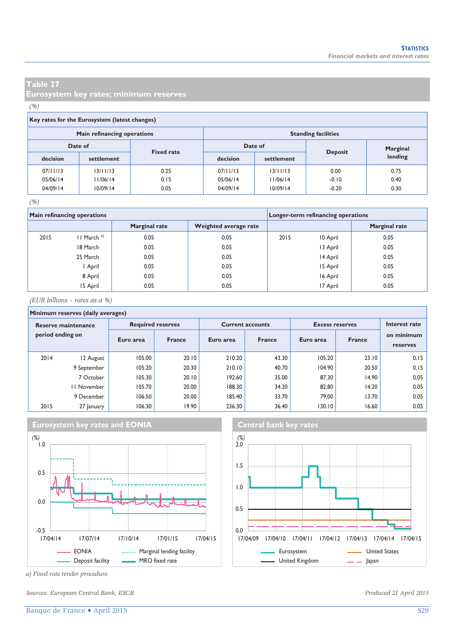**Eurosystem key rates; minimum reserves** 

#### *(%)*

#### **Key rates for the Eurosystem (latest changes)**

|          | Main refinancing operations |                   | <b>Standing facilities</b> |            |                |          |  |  |
|----------|-----------------------------|-------------------|----------------------------|------------|----------------|----------|--|--|
| Date of  |                             | <b>Fixed rate</b> | Date of                    |            |                | Marginal |  |  |
| decision | settlement                  |                   | decision                   | settlement | <b>Deposit</b> | lending  |  |  |
| 07/11/13 | 13/11/13                    | 0.25              | 07/11/13                   | 13/11/13   | 0.00           | 0.75     |  |  |
| 05/06/14 | 11/06/14                    | 0.15              | 05/06/14                   | 11/06/14   | $-0.10$        | 0.40     |  |  |
| 04/09/14 | 10/09/14                    | 0.05              | 04/09/14                   | 10/09/14   | $-0.20$        | 0.30     |  |  |

#### *(%)*

|      | Main refinancing operations |                      | Longer-term refinancing operations |      |          |                      |
|------|-----------------------------|----------------------|------------------------------------|------|----------|----------------------|
|      |                             | <b>Marginal rate</b> | Weighted average rate              |      |          | <b>Marginal rate</b> |
| 2015 | $II$ March <sup>a)</sup>    | 0.05                 | 0.05                               | 2015 | 10 April | 0.05                 |
|      | 18 March                    | 0.05                 | 0.05                               |      | 13 April | 0.05                 |
|      | 25 March                    | 0.05                 | 0.05                               |      | 14 April | 0.05                 |
|      | April                       | 0.05                 | 0.05                               |      | 15 April | 0.05                 |
|      | 8 April                     | 0.05                 | 0.05                               |      | 16 April | 0.05                 |
|      | 15 April                    | 0.05                 | 0.05                               |      | 17 April | 0.05                 |

*(EUR billions – rates as a %)*

#### **Minimum reserves (daily averages)**

| Reserve maintenance<br>period ending on |             | <b>Required reserves</b> |               |           | <b>Current accounts</b> | <b>Excess reserves</b> | Interest rate |                        |
|-----------------------------------------|-------------|--------------------------|---------------|-----------|-------------------------|------------------------|---------------|------------------------|
|                                         |             | Euro area                | <b>France</b> | Euro area | <b>France</b>           | Euro area              | <b>France</b> | on minimum<br>reserves |
| 2014                                    | 12 August   | 105.00                   | 20.10         | 210.20    | 43.30                   | 105.20                 | 23.10         | 0.15                   |
|                                         | 9 September | 105.20                   | 20.30         | 210.10    | 40.70                   | 104.90                 | 20.50         | 0.15                   |
|                                         | 7 October   | 105.30                   | 20.10         | 192.60    | 35.00                   | 87.30                  | 14.90         | 0.05                   |
|                                         | 11 November | 105.70                   | 20.00         | 188.30    | 34.20                   | 82.80                  | 14.20         | 0.05                   |
|                                         | 9 December  | 106.50                   | 20.00         | 185.40    | 33.70                   | 79.00                  | 13.70         | 0.05                   |
| 2015                                    | 27 January  | 106.30                   | 19.90         | 236.30    | 36.40                   | 130.10                 | 16.60         | 0.05                   |







*a) Fixed rate tender procedure.* 

*Sources: European Central Bank, ESCB. Produced 21 April 2015*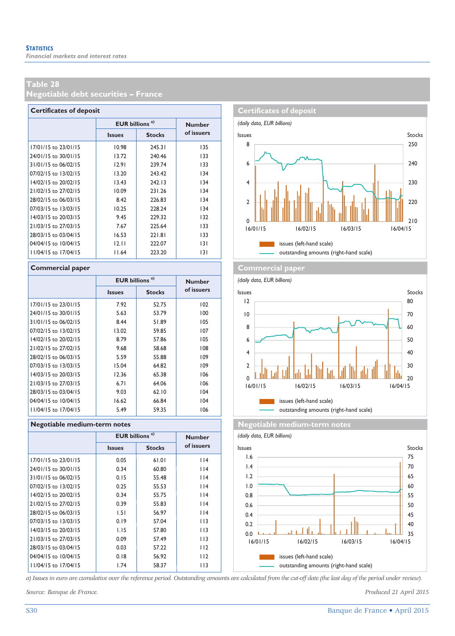**Negotiable debt securities – France** 

| <b>Certificates of deposit</b> |                                  |               |               |  |  |  |  |  |  |  |
|--------------------------------|----------------------------------|---------------|---------------|--|--|--|--|--|--|--|
|                                | <b>EUR billions<sup>a)</sup></b> |               | <b>Number</b> |  |  |  |  |  |  |  |
|                                | <b>Issues</b>                    | <b>Stocks</b> | of issuers    |  |  |  |  |  |  |  |
| 17/01/15 to 23/01/15           | 10.98                            | 245.31        | 135           |  |  |  |  |  |  |  |
| 24/01/15 to 30/01/15           | 13.72                            | 240.46        | 133           |  |  |  |  |  |  |  |
| 31/01/15 to 06/02/15           | 12.91                            | 239.74        | 133           |  |  |  |  |  |  |  |
| 07/02/15 to 13/02/15           | 13.20                            | 243.42        | 134           |  |  |  |  |  |  |  |
| 14/02/15 to 20/02/15           | 13.43                            | 242.13        | 134           |  |  |  |  |  |  |  |
| 21/02/15 to 27/02/15           | 10.09                            | 231.26        | 134           |  |  |  |  |  |  |  |
| 28/02/15 to 06/03/15           | 8.42                             | 226.83        | 134           |  |  |  |  |  |  |  |
| 07/03/15 to 13/03/15           | 10.25                            | 228.24        | 134           |  |  |  |  |  |  |  |
| 14/03/15 to 20/03/15           | 9.45                             | 229.32        | 132           |  |  |  |  |  |  |  |
| 21/03/15 to 27/03/15           | 7.67                             | 225.64        | 133           |  |  |  |  |  |  |  |
| 28/03/15 to 03/04/15           | 16.53                            | 221.81        | 133           |  |  |  |  |  |  |  |
| 04/04/15 to 10/04/15           | 12.11                            | 222.07        | 131           |  |  |  |  |  |  |  |
| 11/04/15 to 17/04/15           | 11.64                            | 223.20        | 3             |  |  |  |  |  |  |  |

|                      | <b>EUR billions<sup>a)</sup></b> |               | <b>Number</b> |
|----------------------|----------------------------------|---------------|---------------|
|                      | <b>Issues</b>                    | <b>Stocks</b> | of issuers    |
| 17/01/15 to 23/01/15 | 7.92                             | 52.75         | 102           |
| 24/01/15 to 30/01/15 | 5.63                             | 5379          | 100           |
| 31/01/15 to 06/02/15 | 8.44                             | 51.89         | 105           |
| 07/02/15 to 13/02/15 | 13.02                            | 59.85         | 107           |
| 14/02/15 to 20/02/15 | 8.79                             | 57.86         | 105           |
| 21/02/15 to 27/02/15 | 9.68                             | 58.68         | 108           |
| 28/02/15 to 06/03/15 | 5.59                             | 55.88         | 109           |
| 07/03/15 to 13/03/15 | 15.04                            | 64.82         | 109           |
| 14/03/15 to 20/03/15 | 12.36                            | 65.38         | 106           |
| 21/03/15 to 27/03/15 | 6.71                             | 64.06         | 106           |
| 28/03/15 to 03/04/15 | 9.03                             | 62.10         | 104           |
| 04/04/15 to 10/04/15 | 16.62                            | 66.84         | 104           |
| 11/04/15 to 17/04/15 | 5.49                             | 59.35         | 106           |

|                      | <b>EUR</b> billions <sup>a)</sup> |               | <b>Number</b> |  |  |  |  |  |  |  |  |  |
|----------------------|-----------------------------------|---------------|---------------|--|--|--|--|--|--|--|--|--|
|                      | <b>Issues</b>                     | <b>Stocks</b> | of issuers    |  |  |  |  |  |  |  |  |  |
| 17/01/15 to 23/01/15 | 0.05                              | 61.01         | 114           |  |  |  |  |  |  |  |  |  |
| 24/01/15 to 30/01/15 | 0.34                              | 60.80         | 114           |  |  |  |  |  |  |  |  |  |
| 31/01/15 to 06/02/15 | 0.15                              | 55.48         | $ $  4        |  |  |  |  |  |  |  |  |  |
| 07/02/15 to 13/02/15 | 0.25                              | 55.53         | 114           |  |  |  |  |  |  |  |  |  |
| 14/02/15 to 20/02/15 | 0.34                              | 55.75         | 114           |  |  |  |  |  |  |  |  |  |
| 21/02/15 to 27/02/15 | 0.39                              | 55.83         | 114           |  |  |  |  |  |  |  |  |  |
| 28/02/15 to 06/03/15 | 1.51                              | 56.97         | 114           |  |  |  |  |  |  |  |  |  |
| 07/03/15 to 13/03/15 | 0.19                              | 57.04         | 113           |  |  |  |  |  |  |  |  |  |
| 14/03/15 to 20/03/15 | 1.15                              | 57.80         | 113           |  |  |  |  |  |  |  |  |  |
| 21/03/15 to 27/03/15 | 0.09                              | 57.49         | 113           |  |  |  |  |  |  |  |  |  |
| 28/03/15 to 03/04/15 | 0.03                              | 57.22         | 112           |  |  |  |  |  |  |  |  |  |
| 04/04/15 to 10/04/15 | 0.18                              | 56.92         | 112           |  |  |  |  |  |  |  |  |  |
| 11/04/15 to 17/04/15 | 1.74                              | 58.37         | 113           |  |  |  |  |  |  |  |  |  |
|                      |                                   |               |               |  |  |  |  |  |  |  |  |  |



#### **Commercial paper Commercial paper Commercial paper**



**Regotiable medium-term notes Negotiable medium-term notes** 

*(daily data, EUR billions)* **Issues Stocks** Stocks Issues Stocks Stocks Stocks Issues Stocks Stocks Stocks Stocks 1.6 75 1.4 70 1.2 65 1.0 60 0.8 55 0.6 50 0.4 45 0.2 40 аT тI 0.0 h. لىك،<br>16/04/15 16/01/15 16/02/15 16/03/15 16/04/15 1 issues (left-hand scale) outstanding amounts (right-hand scale)

*a) Issues in euro are cumulative over the reference period. Outstanding amounts are calculated from the cut-off date (the last day of the period under review).* 

*Source: Banque de France. Produced 21 April 2015*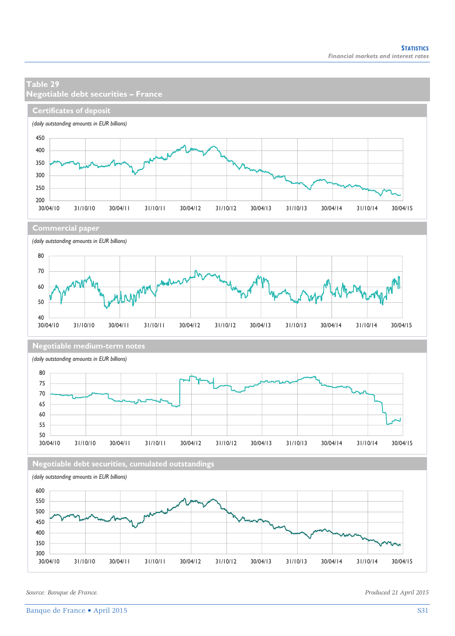### **Table 29 Negotiable debt securities – France Certificates of deposit** *(daily outstanding amounts in EUR billions)* 450 400 350 300 250  $200$   $-$ <br>30/04/10 30/04/10 31/10/10 30/04/11 31/10/11 30/04/12 31/10/12 30/04/13 31/10/13 30/04/14 31/10/14 30/04/15 **Commercial paper** *(daily outstanding amounts in EUR billions)* 80 70 LNMM 60 50  $40$   $-$ <br>30/04/10 30/04/10 31/10/10 30/04/11 31/10/11 30/04/12 31/10/12 30/04/13 31/10/13 30/04/14 31/10/14 30/04/15 **Negotiable medium-term notes** *(daily outstanding amounts in EUR billions)* 80 75 70 65 60 55  $50$ <br> $30/04/10$ 30/04/10 31/10/10 30/04/11 31/10/11 30/04/12 31/10/12 30/04/13 31/10/13 30/04/14 31/10/14 30/04/15 **Negotiable debt securities, cumulated outstandings** *(daily outstanding amounts in EUR billions)* 600 550 500 450 400 350 300

30/04/10 31/10/10 30/04/11 31/10/11 30/04/12 31/10/12 30/04/13 31/10/13 30/04/14 31/10/14 30/04/15

*Source: Banque de France. Produced 21 April 2015*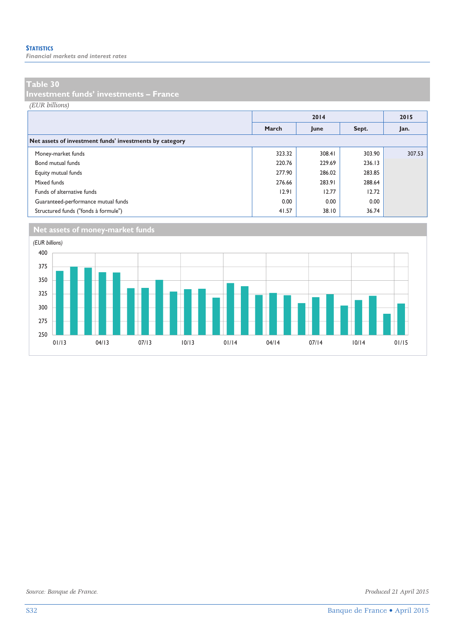*Financial markets and interest rates* 

#### **Table 30**

**Investment funds' investments – France** 

*(EUR billions)*

|                                                         |        | 2014   |        | 2015   |
|---------------------------------------------------------|--------|--------|--------|--------|
|                                                         | March  | June   | Sept.  | Jan.   |
| Net assets of investment funds' investments by category |        |        |        |        |
| Money-market funds                                      | 323.32 | 308.41 | 303.90 | 307.53 |
| Bond mutual funds                                       | 220.76 | 229.69 | 236.13 |        |
| Equity mutual funds                                     | 277.90 | 286.02 | 283.85 |        |
| Mixed funds                                             | 276.66 | 283.91 | 288.64 |        |
| Funds of alternative funds                              | 12.91  | 12.77  | 12.72  |        |
| Guaranteed-performance mutual funds                     | 0.00   | 0.00   | 0.00   |        |
| Structured funds ("fonds à formule")                    | 41.57  | 38.10  | 36.74  |        |

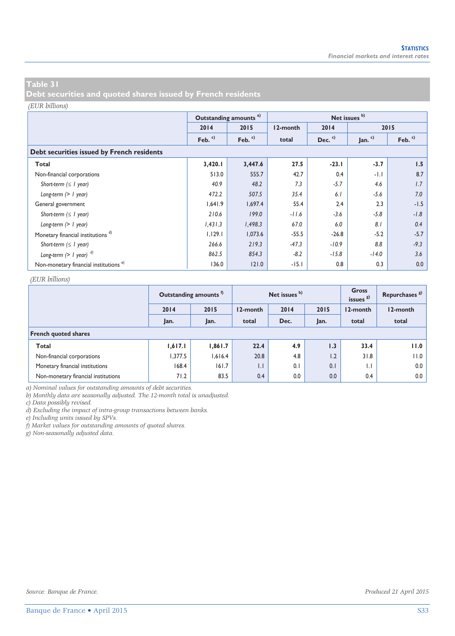**Debt securities and quoted shares issued by French residents** 

#### *(EUR billions)*

|                                                   |          | Outstanding amounts <sup>a)</sup> |          |          | Net issues b) |          |  |  |  |  |  |  |
|---------------------------------------------------|----------|-----------------------------------|----------|----------|---------------|----------|--|--|--|--|--|--|
|                                                   | 2014     | 2015                              | 12-month | 2014     |               | 2015     |  |  |  |  |  |  |
|                                                   | Feb. $c$ | Feb. $c$                          | total    | Dec. $c$ | Jan. $c)$     | Feb. $c$ |  |  |  |  |  |  |
| Debt securities issued by French residents        |          |                                   |          |          |               |          |  |  |  |  |  |  |
| Total                                             | 3,420.1  | 3,447.6                           | 27.5     | $-23.1$  | $-3.7$        | 1.5      |  |  |  |  |  |  |
| Non-financial corporations                        | 513.0    | 555.7                             | 42.7     | 0.4      | $-1.1$        | 8.7      |  |  |  |  |  |  |
| Short-term $( \leq l$ year)                       | 40.9     | 48.2                              | 7.3      | $-5.7$   | 4.6           | 1.7      |  |  |  |  |  |  |
| Long-term $(> 1$ year)                            | 472.2    | 507.5                             | 35.4     | 6.1      | $-5.6$        | 7.0      |  |  |  |  |  |  |
| General government                                | 1,641.9  | 1,697.4                           | 55.4     | 2.4      | 2.3           | $-1.5$   |  |  |  |  |  |  |
| Short-term $( \leq l$ year)                       | 210.6    | 199.0                             | $-11.6$  | $-3.6$   | $-5.8$        | $-1.8$   |  |  |  |  |  |  |
| Long-term $(> 1$ year)                            | 1,431.3  | 1,498.3                           | 67.0     | 6.0      | 8.1           | 0.4      |  |  |  |  |  |  |
| Monetary financial institutions <sup>d)</sup>     | 1,129.1  | 1,073.6                           | $-55.5$  | $-26.8$  | $-5.2$        | $-5.7$   |  |  |  |  |  |  |
| Short-term $( \leq l$ year)                       | 266.6    | 219.3                             | $-47.3$  | $-10.9$  | 8.8           | $-9.3$   |  |  |  |  |  |  |
| Long-term $(> 1$ year) $^{d)}$                    | 862.5    | 854.3                             | $-8.2$   | $-15.8$  | $-14.0$       | 3.6      |  |  |  |  |  |  |
| Non-monetary financial institutions <sup>e)</sup> | 136.0    | 121.0                             | $-15.1$  | 0.8      | 0.3           | 0.0      |  |  |  |  |  |  |

#### *(EUR billions)*

|                                     |         | Outstanding amounts <sup>1</sup> |              | Net issues b) |      | Gross<br>issues $g(x)$ | Repurchases <sup>8</sup> |
|-------------------------------------|---------|----------------------------------|--------------|---------------|------|------------------------|--------------------------|
|                                     | 2014    | 2015                             | 12-month     | 2014          | 2015 | 12-month               | 12-month                 |
|                                     | Jan.    | Jan.                             | total        | Dec.          | Jan. | total                  | total                    |
| <b>French quoted shares</b>         |         |                                  |              |               |      |                        |                          |
| Total                               | 1,617.1 | 1,861.7                          | 22.4         | 4.9           | 1.3  | 33.4                   | 11.0                     |
| Non-financial corporations          | 1,377.5 | 1,616.4                          | 20.8         | 4.8           | 1.2  | 31.8                   | 11.0                     |
| Monetary financial institutions     | 168.4   | 161.7                            | $\mathsf{L}$ | 0.1           | 0.1  | $\mathsf{L}$           | 0.0                      |
| Non-monetary financial institutions | 71.2    | 83.5                             | 0.4          | 0.0           | 0.0  | 0.4                    | 0.0                      |

*a) Nominal values for outstanding amounts of debt securities.* 

*b) Monthly data are seasonally adjusted. The 12-month total is unadjusted.* 

*c) Data possibly revised.* 

*d) Excluding the impact of intra-group transactions between banks.* 

*e) Including units issued by SPVs.* 

*f) Market values for outstanding amounts of quoted shares.* 

*g) Non-seasonally adjusted data.*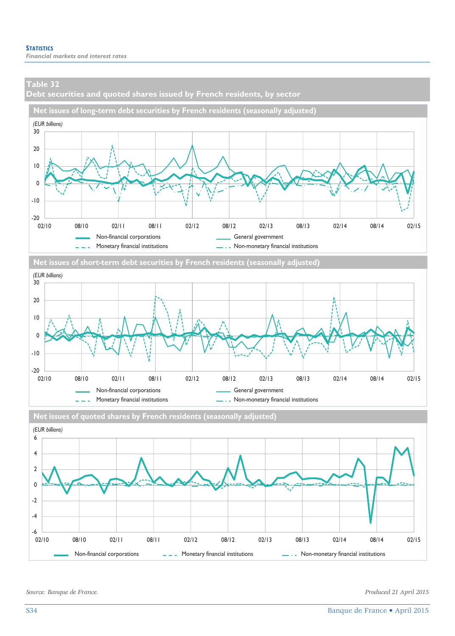**Debt securities and quoted shares issued by French residents, by sector** 









*Source: Banque de France. Produced 21 April 2015*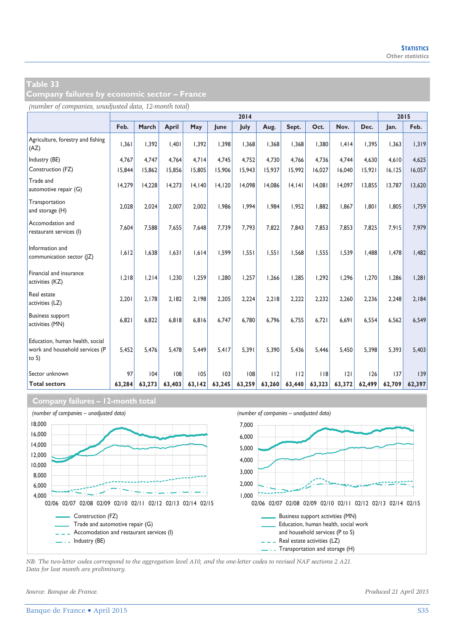**Company failures by economic sector – France** 

*(number of companies, unadjusted data, 12-month total)*

|                                                                               | 2014   |        |        |        |        |        |        |        |        | 2015   |        |         |        |
|-------------------------------------------------------------------------------|--------|--------|--------|--------|--------|--------|--------|--------|--------|--------|--------|---------|--------|
|                                                                               | Feb.   | March  | April  | May    | lune   | July   | Aug.   | Sept.  | Oct.   | Nov.   | Dec.   | Jan.    | Feb.   |
| Agriculture, forestry and fishing<br>(AZ)                                     | 1,361  | 1,392  | 1.401  | 1,392  | 1,398  | 1,368  | 1,368  | 1,368  | 1.380  | 1.414  | 1.395  | 1,363   | 1,319  |
| Industry (BE)                                                                 | 4.767  | 4.747  | 4.764  | 4.714  | 4.745  | 4.752  | 4.730  | 4.766  | 4.736  | 4.744  | 4.630  | 4.610   | 4,625  |
| Construction (FZ)                                                             | 15,844 | 15,862 | 15,856 | 15,805 | 15,906 | 15,943 | 15.937 | 15,992 | 16,027 | 16,040 | 15.921 | 16, 125 | 16,057 |
| Trade and<br>automotive repair (G)                                            | 14,279 | 14,228 | 14.273 | 14,140 | 14,120 | 14,098 | 14.086 | 4,  4  | 14,081 | 14.097 | 13,855 | 13,787  | 13,620 |
| Transportation<br>and storage (H)                                             | 2.028  | 2.024  | 2.007  | 2.002  | 1.986  | 1.994  | 1.984  | 1.952  | 1.882  | 1.867  | 1.801  | 1.805   | 1.759  |
| Accomodation and<br>restaurant services (I)                                   | 7,604  | 7,588  | 7.655  | 7.648  | 7,739  | 7.793  | 7.822  | 7,843  | 7.853  | 7.853  | 7.825  | 7,915   | 7,979  |
| Information and<br>communication sector ( Z)                                  | 1,612  | 1,638  | 1.631  | 1,614  | 1,599  | 1,551  | 1,551  | 1,568  | 1,555  | 1.539  | 1,488  | 1,478   | 1,482  |
| Financial and insurance<br>activities (KZ)                                    | 1.218  | 1.214  | 1.230  | 1.259  | 1.280  | 1.257  | 1.266  | 1.285  | 1.292  | 1.296  | 1.270  | 1.286   | 1.281  |
| Real estate<br>activities (LZ)                                                | 2.201  | 2.178  | 2.182  | 2.198  | 2.205  | 2.224  | 2.218  | 2.222  | 2.232  | 2.260  | 2.236  | 2.248   | 2.184  |
| <b>Business support</b><br>activities (MN)                                    | 6,821  | 6.822  | 6.818  | 6,816  | 6.747  | 6,780  | 6.796  | 6,755  | 6.721  | 6,691  | 6,554  | 6,562   | 6.549  |
| Education, human health, social<br>work and household services (P<br>to $S$ ) | 5,452  | 5.476  | 5.478  | 5,449  | 5,417  | 5.391  | 5.390  | 5,436  | 5.446  | 5.450  | 5,398  | 5,393   | 5,403  |
| Sector unknown                                                                | 97     | 104    | 108    | 105    | 103    | 108    | 112    | 112    | 118    | 2      | 126    | 137     | 139    |
| <b>Total sectors</b>                                                          | 63,284 | 63,273 | 63,403 | 63,142 | 63,245 | 63,259 | 63,260 | 63,440 | 63,323 | 63,372 | 62,499 | 62,709  | 62,397 |

#### **Company failures – 12-month total**



*NB: The two-letter codes correspond to the aggregation level A10, and the one-letter codes to revised NAF sections 2 A21. Data for last month are preliminary.* 

*Source: Banque de France. Produced 21 April 2015*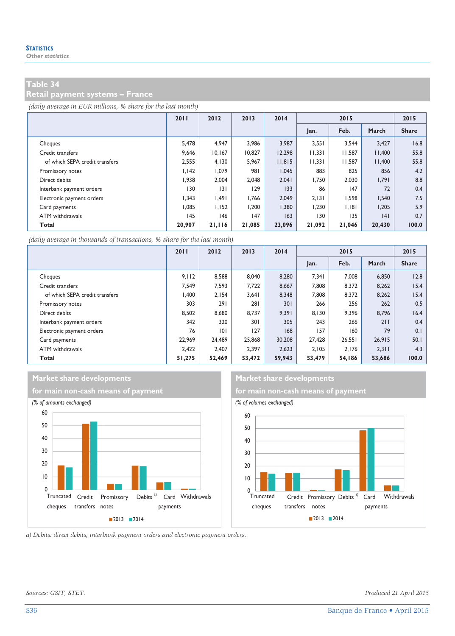**Retail payment systems – France** 

*(daily average in EUR millions, % share for the last month)*

|                                | 2011   | 2012   | 2013   | 2014   | 2015   |        |        | 2015         |
|--------------------------------|--------|--------|--------|--------|--------|--------|--------|--------------|
|                                |        |        |        |        | Jan.   | Feb.   | March  | <b>Share</b> |
| Cheques                        | 5,478  | 4.947  | 3.986  | 3.987  | 3,551  | 3.544  | 3,427  | 16.8         |
| Credit transfers               | 9.646  | 10.167 | 10.827 | 12.298 | 11.331 | 11.587 | 11.400 | 55.8         |
| of which SEPA credit transfers | 2.555  | 4.130  | 5.967  | 11.815 | 11.331 | 11.587 | 11.400 | 55.8         |
| Promissory notes               | 1.142  | 1.079  | 981    | 1.045  | 883    | 825    | 856    | 4.2          |
| Direct debits                  | 1,938  | 2.004  | 2,048  | 2,041  | 1,750  | 2,030  | 1,791  | 8.8          |
| Interbank payment orders       | 130    | 3      | 129    | 133    | 86     | 147    | 72     | 0.4          |
| Electronic payment orders      | 1.343  | 1.491  | 1.766  | 2.049  | 2.131  | 1,598  | 1,540  | 7.5          |
| Card payments                  | 1.085  | 1.152  | 1.200  | 1.380  | 1.230  | 1.181  | 1.205  | 5.9          |
| ATM withdrawals                | 145    | 146    | 147    | 163    | 130    | 135    | 4      | 0.7          |
| Total                          | 20,907 | 21,116 | 21,085 | 23.096 | 21,092 | 21,046 | 20,430 | 100.0        |

*(daily average in thousands of transactions, % share for the last month)*

|                                | 2011   | 2012   | 2013   | 2014   | 2015   |        |        | 2015         |
|--------------------------------|--------|--------|--------|--------|--------|--------|--------|--------------|
|                                |        |        |        |        | Jan.   | Feb.   | March  | <b>Share</b> |
| Cheques                        | 9.112  | 8.588  | 8.040  | 8,280  | 7.341  | 7,008  | 6,850  | 12.8         |
| Credit transfers               | 7.549  | 7.593  | 7.722  | 8,667  | 7,808  | 8,372  | 8,262  | 15.4         |
| of which SEPA credit transfers | 1.400  | 2.154  | 3.641  | 8.348  | 7,808  | 8,372  | 8,262  | 15.4         |
| Promissory notes               | 303    | 291    | 281    | 301    | 266    | 256    | 262    | 0.5          |
| Direct debits                  | 8.502  | 8,680  | 8.737  | 9,391  | 8.130  | 9,396  | 8,796  | 16.4         |
| Interbank payment orders       | 342    | 320    | 301    | 305    | 243    | 266    | 211    | 0.4          |
| Electronic payment orders      | 76     | 0      | 127    | 168    | 157    | 160    | 79     | 0.1          |
| Card payments                  | 22.969 | 24.489 | 25,868 | 30,208 | 27,428 | 26,551 | 26,915 | 50.1         |
| ATM withdrawals                | 2.422  | 2.407  | 2.397  | 2,623  | 2.105  | 2.176  | 2,311  | 4.3          |
| Total                          | 51,275 | 52,469 | 53,472 | 59,943 | 53,479 | 54,186 | 53,686 | 100.0        |

### **Market share developments** Market share developments





*a) Debits: direct debits, interbank payment orders and electronic payment orders.* 

*Sources: GSIT, STET. Produced 21 April 2015*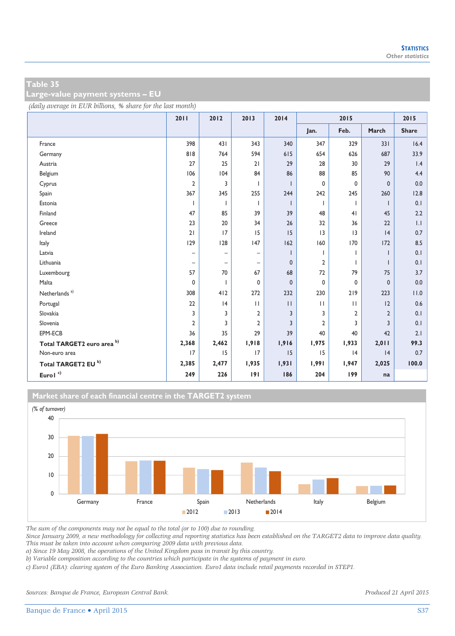**Large-value payment systems – EU** 

*(daily average in EUR billions, % share for the last month)*

|                            | 2011                     | 2012              | 2013                     | 2014         | 2015           |                |                | 2015                    |
|----------------------------|--------------------------|-------------------|--------------------------|--------------|----------------|----------------|----------------|-------------------------|
|                            |                          |                   |                          |              | Jan.           | Feb.           | March          | <b>Share</b>            |
| France                     | 398                      | 431               | 343                      | 340          | 347            | 329            | 331            | 16.4                    |
| Germany                    | 818                      | 764               | 594                      | 615          | 654            | 626            | 687            | 33.9                    |
| Austria                    | 27                       | 25                | 21                       | 29           | 28             | 30             | 29             | 1.4                     |
| Belgium                    | 106                      | 104               | 84                       | 86           | 88             | 85             | 90             | 4.4                     |
| Cyprus                     | $\overline{2}$           | 3                 | ı                        |              | $\mathbf 0$    | 0              | $\mathbf 0$    | 0.0                     |
| Spain                      | 367                      | 345               | 255                      | 244          | 242            | 245            | 260            | 12.8                    |
| Estonia                    | $\mathbf{I}$             |                   | T                        |              | $\mathbf{I}$   |                |                | 0.1                     |
| Finland                    | 47                       | 85                | 39                       | 39           | 48             | 4 <sub>1</sub> | 45             | 2.2                     |
| Greece                     | 23                       | 20                | 34                       | 26           | 32             | 36             | 22             | $\mathsf{L} \mathsf{L}$ |
| Ireland                    | 21                       | 17                | 15                       | 15           | 3              | 3              | 4              | 0.7                     |
| Italy                      | 129                      | 128               | 147                      | 162          | 160            | 170            | 172            | 8.5                     |
| Latvia                     | $\overline{\phantom{0}}$ | $\qquad \qquad -$ | $\overline{\phantom{0}}$ |              |                |                |                | 0.1                     |
| Lithuania                  | $\qquad \qquad -$        | $\qquad \qquad -$ | $\overline{\phantom{0}}$ | $\mathbf{0}$ | $\overline{2}$ |                |                | 0.1                     |
| Luxembourg                 | 57                       | 70                | 67                       | 68           | 72             | 79             | 75             | 3.7                     |
| Malta                      | 0                        |                   | 0                        | $\mathbf{0}$ | $\mathbf{0}$   | 0              | $\mathbf 0$    | 0.0                     |
| Netherlands <sup>a)</sup>  | 308                      | 412               | 272                      | 232          | 230            | 219            | 223            | 11.0                    |
| Portugal                   | 22                       | 4                 | $\mathbf{H}$             | $\mathbf{H}$ | $\mathbf{H}$   | $\mathbf{H}$   | 12             | 0.6                     |
| Slovakia                   | 3                        | 3                 | 2                        | 3            | 3              | 2              | $\overline{2}$ | 0.1                     |
| Slovenia                   | $\overline{2}$           | 3                 | $\overline{2}$           | 3            | $\overline{2}$ | 3              | 3              | 0.1                     |
| EPM-ECB                    | 36                       | 35                | 29                       | 39           | 40             | 40             | 42             | 2.1                     |
| Total TARGET2 euro area b) | 2,368                    | 2,462             | 1,918                    | 1,916        | 1,975          | 1,933          | 2,011          | 99.3                    |
| Non-euro area              | 17                       | 15                | 17                       | 15           | 15             | 4              | 4              | 0.7                     |
| Total TARGET2 EU b)        | 2,385                    | 2,477             | 1,935                    | 1,931        | 1,991          | 1,947          | 2,025          | 100.0                   |
| Eurol $^{\circ}$           | 249                      | 226               | 191                      | 186          | 204            | 199            | na             |                         |

**Market share of each financial centre in the TARGET2 system**



*The sum of the components may not be equal to the total (or to 100) due to rounding.* 

*Since January 2009, a new methodology for collecting and reporting statistics has been established on the TARGET2 data to improve data quality. This must be taken into account when comparing 2009 data with previous data.* 

*a) Since 19 May 2008, the operations of the United Kingdom pass in transit by this country.* 

*b) Variable composition according to the countries which participate in the systems of payment in euro.* 

*c) Euro1 (EBA): clearing system of the Euro Banking Association. Euro1 data include retail payments recorded in STEP1.* 

*Sources: Banque de France, European Central Bank. Produced 21 April 2015*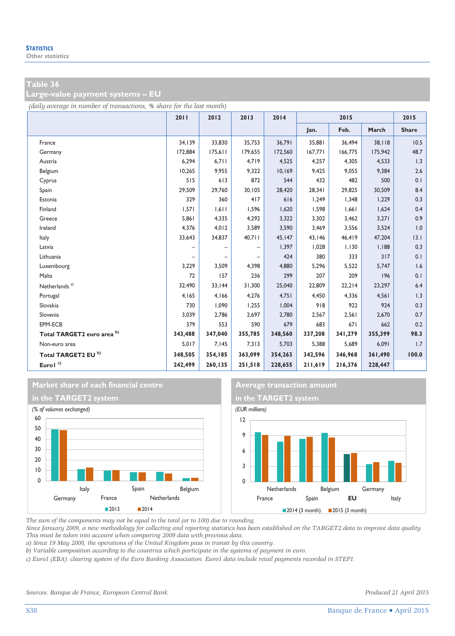**Large-value payment systems – EU** 

*(daily average in number of transactions, % share for the last month)*

|                                | 2011    | 2012    | 2013              | 2014    | 2015    |         |         | 2015         |
|--------------------------------|---------|---------|-------------------|---------|---------|---------|---------|--------------|
|                                |         |         |                   |         | Jan.    | Feb.    | March   | <b>Share</b> |
| France                         | 34,139  | 33,830  | 35,753            | 36,791  | 35,881  | 36,494  | 38,118  | 10.5         |
| Germany                        | 172,884 | 175,611 | 179,655           | 172.560 | 167.771 | 166.775 | 175,942 | 48.7         |
| Austria                        | 6,294   | 6,711   | 4,719             | 4,525   | 4,257   | 4,305   | 4,533   | 1.3          |
| Belgium                        | 10,265  | 9,955   | 9,322             | 10,169  | 9,425   | 9,055   | 9,384   | 2.6          |
| Cyprus                         | 515     | 613     | 872               | 544     | 432     | 482     | 500     | 0.1          |
| Spain                          | 29,509  | 29,760  | 30,105            | 28,420  | 28,341  | 29,825  | 30,509  | 8.4          |
| Estonia                        | 329     | 360     | 417               | 616     | 1,249   | 1,348   | 1,229   | 0.3          |
| Finland                        | 1,571   | 1,611   | 1.596             | 1,620   | 1.598   | 1,661   | 1,624   | 0.4          |
| Greece                         | 5,861   | 4,335   | 4,292             | 3,322   | 3,302   | 3,462   | 3,271   | 0.9          |
| Ireland                        | 4,376   | 4,012   | 3,589             | 3,590   | 3,469   | 3,556   | 3,524   | 1.0          |
| Italy                          | 33,643  | 34,837  | 40,711            | 45,147  | 43,146  | 46,419  | 47,204  | 13.1         |
| Latvia                         |         |         | -                 | 1,397   | 1,028   | 1,130   | 1,188   | 0.3          |
| Lithuania                      |         |         | $\qquad \qquad -$ | 424     | 380     | 333     | 317     | 0.1          |
| Luxembourg                     | 3,229   | 3,509   | 4,398             | 4,880   | 5,296   | 5,522   | 5,747   | 1.6          |
| Malta                          | 72      | 157     | 236               | 299     | 207     | 209     | 196     | 0.1          |
| Netherlands <sup>a)</sup>      | 32,490  | 33,144  | 31,300            | 25,040  | 22.809  | 22,214  | 23,297  | 6.4          |
| Portugal                       | 4,165   | 4,166   | 4,276             | 4,751   | 4,450   | 4,336   | 4,561   | 1.3          |
| Slovakia                       | 730     | 1,090   | 1,255             | 1,004   | 918     | 922     | 924     | 0.3          |
| Slovenia                       | 3,039   | 2,786   | 2,697             | 2,780   | 2,567   | 2,561   | 2,670   | 0.7          |
| EPM-ECB                        | 379     | 553     | 590               | 679     | 683     | 671     | 662     | 0.2          |
| Total TARGET2 euro area b)     | 343,488 | 347,040 | 355,785           | 348,560 | 337,208 | 341,279 | 355,399 | 98.3         |
| Non-euro area                  | 5,017   | 7,145   | 7,313             | 5,703   | 5,388   | 5,689   | 6,091   | 1.7          |
| Total TARGET2 EU <sup>b)</sup> | 348,505 | 354,185 | 363,099           | 354,263 | 342,596 | 346,968 | 361,490 | 100.0        |
| Eurol <sup>c)</sup>            | 242,499 | 260,135 | 251,518           | 228,655 | 211,619 | 216,376 | 228,447 |              |







*The sum of the components may not be equal to the total (or to 100) due to rounding.* 

*Since January 2009, a new methodology for collecting and reporting statistics has been established on the TARGET2 data to improve data quality. This must be taken into account when comparing 2009 data with previous data.* 

*a) Since 19 May 2008, the operations of the United Kingdom pass in transit by this country.* 

*b) Variable composition according to the countries which participate in the systems of payment in euro.* 

*c) Euro1 (EBA): clearing system of the Euro Banking Association. Euro1 data include retail payments recorded in STEP1.*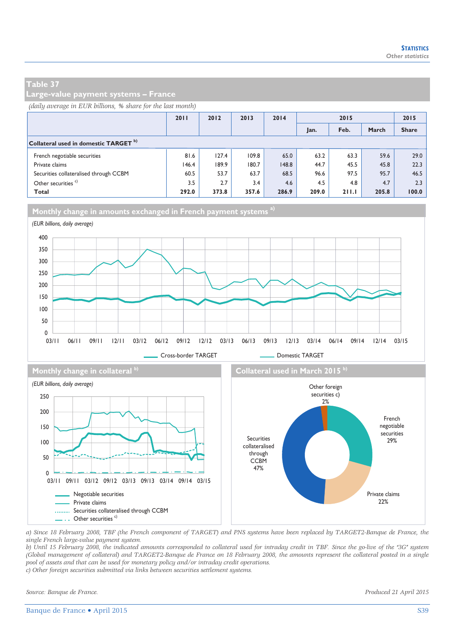**Large-value payment systems – France** 

#### *(daily average in EUR billions, % share for the last month)*

|                                                  | 2011  | 2012  | 2013  | 2014  | 2015  |       |       | 2015         |
|--------------------------------------------------|-------|-------|-------|-------|-------|-------|-------|--------------|
|                                                  |       |       |       |       | Jan.  | Feb.  | March | <b>Share</b> |
| Collateral used in domestic TARGET <sup>b)</sup> |       |       |       |       |       |       |       |              |
| French negotiable securities                     | 81.6  | 127.4 | 109.8 | 65.0  | 63.2  | 63.3  | 59.6  | 29.0         |
| Private claims                                   | 146.4 | 189.9 | 180.7 | 148.8 | 44.7  | 45.5  | 45.8  | 22.3         |
| Securities collateralised through CCBM           | 60.5  | 53.7  | 63.7  | 68.5  | 96.6  | 97.5  | 95.7  | 46.5         |
| Other securities <sup>c)</sup>                   | 3.5   | 2.7   | 3.4   | 4.6   | 4.5   | 4.8   | 4.7   | 2.3          |
| Total                                            | 292.0 | 373.8 | 357.6 | 286.9 | 209.0 | 211.1 | 205.8 | 100.0        |



*a) Since 18 February 2008, TBF (the French component of TARGET) and PNS systems have been replaced by TARGET2-Banque de France, the single French large-value payment system.* 

*b) Until 15 February 2008, the indicated amounts corresponded to collateral used for intraday credit in TBF. Since the go-live of the "3G" system (Global management of collateral) and TARGET2-Banque de France on 18 February 2008, the amounts represent the collateral posted in a single pool of assets and that can be used for monetary policy and/or intraday credit operations.* 

*c) Other foreign securities submitted via links between securities settlement systems.* 

*Source: Banque de France. Produced 21 April 2015* 

Private claims 22%

Negotiable securities Private claims

- . Other securities<sup>c)</sup>

......... Securities collateralised through CCBM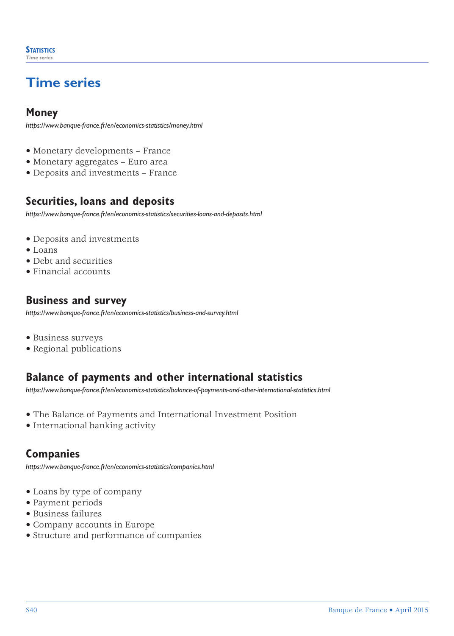# **Time series**

### **Money**

*https://www.banque-france.fr/en/economics-statistics/money.html*

- Monetary developments France
- Monetary aggregates Euro area
- Deposits and investments France

### **Securities, loans and deposits**

*https://www.banque-france.fr/en/economics-statistics/securities-loans-and-deposits.html*

- Deposits and investments
- Loans
- Debt and securities
- Financial accounts

### **Business and survey**

*https://www.banque-france.fr/en/economics-statistics/business-and-survey.html*

- Business surveys
- Regional publications

### **Balance of payments and other international statistics**

*[https://www.banque-france.fr/en/economics-statistics/balance-of-payments-and-other-international-statistics.html](http://www.banque-france.fr/en/economics-statistics/balance-of-payments-and-other-international-statistics.html)*

- The Balance of Payments and International Investment Position
- International banking activity

### **Companies**

*https://www.banque-france.fr/en/economics-statistics/companies.html*

- Loans by type of company
- Payment periods
- Business failures
- Company accounts in Europe
- Structure and performance of companies